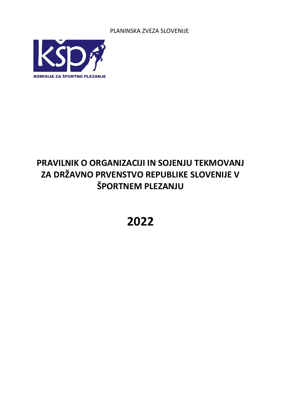PLANINSKA ZVEZA SLOVENIJE



# **PRAVILNIK O ORGANIZACIJI IN SOJENJU TEKMOVANJ ZA DRŽAVNO PRVENSTVO REPUBLIKE SLOVENIJE V ŠPORTNEM PLEZANJU**

# **2022**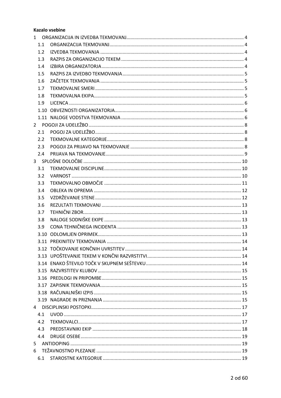#### **Kazalo vsebine**

| 1.1 |  |
|-----|--|
| 1.2 |  |
| 1.3 |  |
| 1.4 |  |
| 1.5 |  |
| 1.6 |  |
| 1.7 |  |
| 1.8 |  |
| 1.9 |  |
|     |  |
|     |  |
|     |  |
| 2.1 |  |
| 2.2 |  |
| 2.3 |  |
| 2.4 |  |
|     |  |
| 3.1 |  |
| 3.2 |  |
| 3.3 |  |
| 3.4 |  |
| 3.5 |  |
| 3.6 |  |
| 3.7 |  |
| 3.8 |  |
| 3.9 |  |
|     |  |
|     |  |
|     |  |
|     |  |
|     |  |
|     |  |
|     |  |
|     |  |
|     |  |
|     |  |
|     |  |
| 4.1 |  |
| 4.2 |  |
| 4.3 |  |
| 4.4 |  |
|     |  |
|     |  |
| 6.1 |  |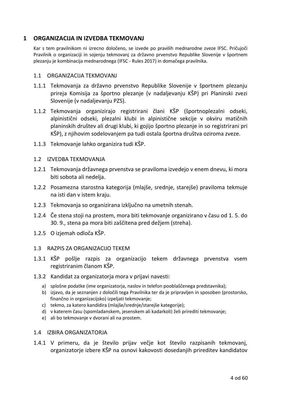# <span id="page-3-0"></span>**1 ORGANIZACIJA IN IZVEDBA TEKMOVANJ**

Kar s tem pravilnikom ni izrecno določeno, se izvede po pravilih mednarodne zveze IFSC. Pričujoči Pravilnik o organizaciji in sojenju tekmovanj za državno prvenstvo Republike Slovenije v športnem plezanju je kombinacija mednarodnega (IFSC - Rules 2017) in domačega pravilnika.

#### <span id="page-3-1"></span>1.1 ORGANIZACIJA TEKMOVANJ

- 1.1.1 Tekmovanja za državno prvenstvo Republike Slovenije v športnem plezanju prireja Komisija za športno plezanje (v nadaljevanju KŠP) pri Planinski zvezi Slovenije (v nadaljevanju PZS).
- 1.1.2 Tekmovanja organizirajo registrirani člani KŠP (športnoplezalni odseki, alpinistični odseki, plezalni klubi in alpinistične sekcije v okviru matičnih planinskih društev ali drugi klubi, ki gojijo športno plezanje in so registrirani pri KŠP), z njihovim sodelovanjem pa tudi ostala športna društva oziroma zveze.
- 1.1.3 Tekmovanje lahko organizira tudi KŠP.

#### <span id="page-3-2"></span>1.2 IZVEDBA TEKMOVANJA

- 1.2.1 Tekmovanja državnega prvenstva se praviloma izvedejo v enem dnevu, ki mora biti sobota ali nedelja.
- 1.2.2 Posamezna starostna kategorija (mlajše, srednje, starejše) praviloma tekmuje na isti dan v istem kraju.
- 1.2.3 Tekmovanja so organizirana izključno na umetnih stenah.
- 1.2.4 Če stena stoji na prostem, mora biti tekmovanje organizirano v času od 1. 5. do 30. 9., stena pa mora biti zaščitena pred dežjem (streha).
- 1.2.5 O izjemah odloča KŠP.

#### <span id="page-3-3"></span>1.3 RAZPIS ZA ORGANIZACIJO TEKEM

- 1.3.1 KŠP pošlje razpis za organizacijo tekem državnega prvenstva vsem registriranim članom KŠP.
- 1.3.2 Kandidat za organizatorja mora v prijavi navesti:
	- a) splošne podatke (ime organizatorja, naslov in telefon pooblaščenega predstavnika);
	- b) izjavo, da je seznanjen z določili tega Pravilnika ter da je pripravljen in sposoben (prostorsko, finančno in organizacijsko) izpeljati tekmovanje;
	- c) tekmo, za katero kandidira (mlajše/srednje/starejše kategorije);
	- d) v katerem času (spomladanskem, jesenskem ali kadarkoli) želi prirediti tekmovanje;
	- e) ali bo tekmovanje v dvorani ali na prostem.

#### <span id="page-3-4"></span>1.4 IZBIRA ORGANIZATORJA

1.4.1 V primeru, da je število prijav večje kot število razpisanih tekmovanj, organizatorje izbere KŠP na osnovi kakovosti dosedanjih prireditev kandidatov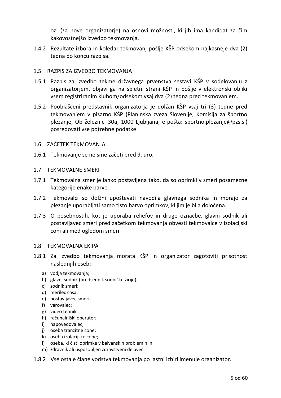oz. (za nove organizatorje) na osnovi možnosti, ki jih ima kandidat za čim kakovostnejšo izvedbo tekmovanja.

1.4.2 Rezultate izbora in koledar tekmovanj pošlje KŠP odsekom najkasneje dva (2) tedna po koncu razpisa.

# <span id="page-4-0"></span>1.5 RAZPIS ZA IZVEDBO TEKMOVANJA

- 1.5.1 Razpis za izvedbo tekme državnega prvenstva sestavi KŠP v sodelovanju z organizatorjem, objavi ga na spletni strani KŠP in pošlje v elektronski obliki vsem registriranim klubom/odsekom vsaj dva (2) tedna pred tekmovanjem.
- 1.5.2 Pooblaščeni predstavnik organizatorja je dolžan KŠP vsaj tri (3) tedne pred tekmovanjem v pisarno KŠP (Planinska zveza Slovenije, Komisija za športno plezanje, Ob železnici 30a, 1000 Ljubljana, e-pošta: sportno.plezanje@pzs.si) posredovati vse potrebne podatke.

# <span id="page-4-1"></span>1.6 ZAČETEK TEKMOVANJA

1.6.1 Tekmovanje se ne sme začeti pred 9. uro.

# <span id="page-4-2"></span>1.7 TEKMOVALNE SMERI

- 1.7.1 Tekmovalna smer je lahko postavljena tako, da so oprimki v smeri posamezne kategorije enake barve.
- 1.7.2 Tekmovalci so dolžni upoštevati navodila glavnega sodnika in morajo za plezanje uporabljati samo tisto barvo oprimkov, ki jim je bila določena.
- 1.7.3 O posebnostih, kot je uporaba reliefov in druge označbe, glavni sodnik ali postavljavec smeri pred začetkom tekmovanja obvesti tekmovalce v izolacijski coni ali med ogledom smeri.

# <span id="page-4-3"></span>1.8 TEKMOVALNA EKIPA

- 1.8.1 Za izvedbo tekmovanja morata KŠP in organizator zagotoviti prisotnost naslednjih oseb:
	- a) vodja tekmovanja;
	- b) glavni sodnik (predsednik sodniške žirije);
	- c) sodnik smeri;
	- d) merilec časa;
	- e) postavljavec smeri;
	- f) varovalec;
	- g) video tehnik;
	- h) računalniški operater;
	- i) napovedovalec;
	- j) oseba tranzitne cone;
	- k) oseba izolacijske cone;
	- l) oseba, ki čisti oprimke v balvanskih problemih in
	- m) zdravnik ali usposobljen zdravstveni delavec.
- 1.8.2 Vse ostale člane vodstva tekmovanja po lastni izbiri imenuje organizator.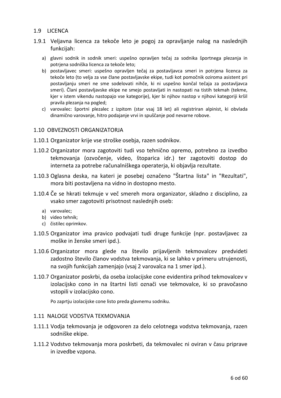# <span id="page-5-0"></span>1.9 LICENCA

- 1.9.1 Veljavna licenca za tekoče leto je pogoj za opravljanje nalog na naslednjih funkcijah:
	- a) glavni sodnik in sodnik smeri: uspešno opravljen tečaj za sodnika športnega plezanja in potrjena sodniška licenca za tekoče leto;
	- b) postavljavec smeri: uspešno opravljen tečaj za postavljavca smeri in potrjena licenca za tekoče leto (to velja za vse člane postavljavske ekipe, tudi kot pomočnik oziroma asistent pri postavljanju smeri ne sme sodelovati nihče, ki ni uspešno končal tečaja za postavljavca smeri). Člani postavljavske ekipe ne smejo postavljati in nastopati na tistih tekmah (tekme, kjer v istem vikendu nastopajo vse kategorije), kjer bi njihov nastop v njihovi kategoriji kršil pravila plezanja na pogled;
	- c) varovalec: športni plezalec z izpitom (star vsaj 18 let) ali registriran alpinist, ki obvlada dinamično varovanje, hitro podajanje vrvi in spuščanje pod nevarne robove.

#### <span id="page-5-1"></span>1.10 OBVEZNOSTI ORGANIZATORJA

- 1.10.1 Organizator krije vse stroške osebja, razen sodnikov.
- 1.10.2 Organizator mora zagotoviti tudi vso tehnično opremo, potrebno za izvedbo tekmovanja (ozvočenje, video, štoparica idr.) ter zagotoviti dostop do interneta za potrebe računalniškega operaterja, ki objavlja rezultate.
- 1.10.3 Oglasna deska, na kateri je posebej označeno "Štartna lista" in "Rezultati", mora biti postavljena na vidno in dostopno mesto.
- 1.10.4 Če se hkrati tekmuje v več smereh mora organizator, skladno z disciplino, za vsako smer zagotoviti prisotnost naslednjih oseb:
	- a) varovalec;
	- b) video tehnik;
	- c) čistilec oprimkov.
- 1.10.5 Organizator ima pravico podvajati tudi druge funkcije (npr. postavljavec za moške in ženske smeri ipd.).
- 1.10.6 Organizator mora glede na število prijavljenih tekmovalcev predvideti zadostno število članov vodstva tekmovanja, ki se lahko v primeru utrujenosti, na svojih funkcijah zamenjajo (vsaj 2 varovalca na 1 smer ipd.).
- 1.10.7 Organizator poskrbi, da oseba izolacijske cone evidentira prihod tekmovalcev v izolacijsko cono in na štartni listi označi vse tekmovalce, ki so pravočasno vstopili v izolacijsko cono.

Po zaprtju izolacijske cone listo preda glavnemu sodniku.

# <span id="page-5-2"></span>1.11 NALOGE VODSTVA TEKMOVANJA

- 1.11.1 Vodja tekmovanja je odgovoren za delo celotnega vodstva tekmovanja, razen sodniške ekipe.
- 1.11.2 Vodstvo tekmovanja mora poskrbeti, da tekmovalec ni oviran v času priprave in izvedbe vzpona.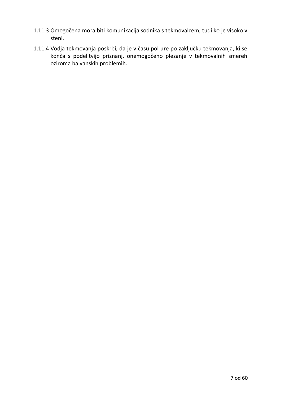- 1.11.3 Omogočena mora biti komunikacija sodnika s tekmovalcem, tudi ko je visoko v steni.
- 1.11.4 Vodja tekmovanja poskrbi, da je v času pol ure po zaključku tekmovanja, ki se konča s podelitvijo priznanj, onemogočeno plezanje v tekmovalnih smereh oziroma balvanskih problemih.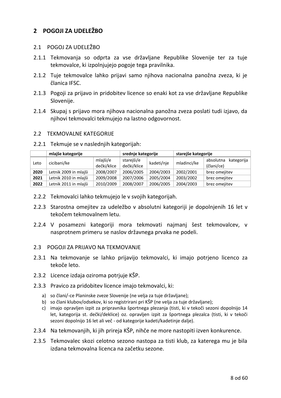# <span id="page-7-0"></span>**2 POGOJI ZA UDELEŽBO**

# <span id="page-7-1"></span>2.1 POGOJ ZA UDELEŽBO

- 2.1.1 Tekmovanja so odprta za vse državljane Republike Slovenije ter za tuje tekmovalce, ki izpolnjujejo pogoje tega pravilnika.
- 2.1.2 Tuje tekmovalce lahko prijavi samo njihova nacionalna panožna zveza, ki je članica IFSC.
- 2.1.3 Pogoji za prijavo in pridobitev licence so enaki kot za vse državljane Republike Slovenije.
- 2.1.4 Skupaj s prijavo mora njihova nacionalna panožna zveza poslati tudi izjavo, da njihovi tekmovalci tekmujejo na lastno odgovornost.

# <span id="page-7-2"></span>2.2 TEKMOVALNE KATEGORIJE

2.2.1 Tekmuje se v naslednjih kategorijah:

|      | mlajše kategorije                  | srednje kategorije      |                           | starejše kategorije |             |                                       |
|------|------------------------------------|-------------------------|---------------------------|---------------------|-------------|---------------------------------------|
| Leto | cicibani/ke                        | mlajši/e<br>dečki/klice | starejši/e<br>dečki/klice | kadeti/nje          | mladinci/ke | kategorija<br>absolutna<br>(člani/ce) |
| 2020 | Letnik 2009 in mlajši              | 2008/2007               | 2006/2005                 | 2004/2003           | 2002/2001   | brez omejitev                         |
| 2021 | Letnik 2010 in mlajši              | 2009/2008               | 2007/2006                 | 2005/2004           | 2003/2002   | brez omejitev                         |
| 2022 | 2010/2009<br>Letnik 2011 in mlajši |                         | 2008/2007                 | 2006/2005           | 2004/2003   | brez omejitev                         |

- 2.2.2 Tekmovalci lahko tekmujejo le v svojih kategorijah.
- 2.2.3 Starostna omejitev za udeležbo v absolutni kategoriji je dopolnjenih 16 let v tekočem tekmovalnem letu.
- 2.2.4 V posamezni kategoriji mora tekmovati najmanj šest tekmovalcev, v nasprotnem primeru se naslov državnega prvaka ne podeli.

# <span id="page-7-3"></span>2.3 POGOJI ZA PRIJAVO NA TEKMOVANJE

- 2.3.1 Na tekmovanje se lahko prijavijo tekmovalci, ki imajo potrjeno licenco za tekoče leto.
- 2.3.2 Licence izdaja oziroma potrjuje KŠP.
- 2.3.3 Pravico za pridobitev licence imajo tekmovalci, ki:
	- a) so člani/-ce Planinske zveze Slovenije (ne velja za tuje državljane);
	- b) so člani klubov/odsekov, ki so registrirani pri KŠP (ne velja za tuje državljane);
	- c) imajo opravljen izpit za pripravnika športnega plezanja (tisti, ki v tekoči sezoni dopolnijo 14 let, kategorija st. dečki/deklice) oz. opravljen izpit za športnega plezalca (tisti, ki v tekoči sezoni dopolnijo 16 let ali več - od kategorije kadeti/kadetinje dalje).
- 2.3.4 Na tekmovanjih, ki jih prireja KŠP, nihče ne more nastopiti izven konkurence.
- 2.3.5 Tekmovalec skozi celotno sezono nastopa za tisti klub, za katerega mu je bila izdana tekmovalna licenca na začetku sezone.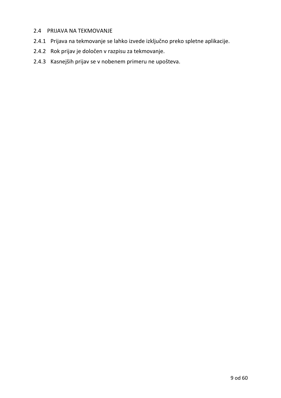# <span id="page-8-0"></span>2.4 PRIJAVA NA TEKMOVANJE

- 2.4.1 Prijava na tekmovanje se lahko izvede izključno preko spletne aplikacije.
- 2.4.2 Rok prijav je določen v razpisu za tekmovanje.
- 2.4.3 Kasnejših prijav se v nobenem primeru ne upošteva.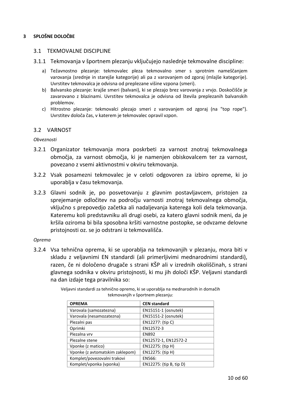#### <span id="page-9-0"></span>**3 SPLOŠNE DOLOČBE**

#### <span id="page-9-1"></span>3.1 TEKMOVALNE DISCIPLINE

- 3.1.1 Tekmovanja v športnem plezanju vključujejo naslednje tekmovalne discipline:
	- a) Težavnostno plezanje: tekmovalec pleza tekmovalno smer s sprotnim nameščanjem varovanja (srednje in starejše kategorije) ali pa z varovanjem od zgoraj (mlajše kategorije). Uvrstitev tekmovalca je odvisna od preplezane višine vzpona (smeri).
	- b) Balvansko plezanje: krajše smeri (balvani), ki se plezajo brez varovanja z vrvjo. Doskočišče je zavarovano z blazinami. Uvrstitev tekmovalca je odvisna od števila preplezanih balvanskih problemov.
	- c) Hitrostno plezanje: tekmovalci plezajo smeri z varovanjem od zgoraj (na "top rope"). Uvrstitev določa čas, v katerem je tekmovalec opravil vzpon.

#### <span id="page-9-2"></span>3.2 VARNOST

#### *Obveznosti*

- 3.2.1 Organizator tekmovanja mora poskrbeti za varnost znotraj tekmovalnega območja, za varnost območja, ki je namenjen obiskovalcem ter za varnost, povezano z vsemi aktivnostmi v okviru tekmovanja.
- 3.2.2 Vsak posamezni tekmovalec je v celoti odgovoren za izbiro opreme, ki jo uporablja v času tekmovanja.
- 3.2.3 Glavni sodnik je, po posvetovanju z glavnim postavljavcem, pristojen za sprejemanje odločitev na področju varnosti znotraj tekmovalnega območja, vključno s prepovedjo začetka ali nadaljevanja katerega koli dela tekmovanja. Kateremu koli predstavniku ali drugi osebi, za katero glavni sodnik meni, da je kršila oziroma bi bila sposobna kršiti varnostne postopke, se odvzame delovne pristojnosti oz. se jo odstrani iz tekmovališča.

#### *Oprema*

3.2.4 Vsa tehnična oprema, ki se uporablja na tekmovanjih v plezanju, mora biti v skladu z veljavnimi EN standardi (ali primerljivimi mednarodnimi standardi), razen, če ni določeno drugače s strani KŠP ali v izrednih okoliščinah, s strani glavnega sodnika v okviru pristojnosti, ki mu jih določi KŠP. Veljavni standardi na dan izdaje tega pravilnika so:

| <b>OPREMA</b>                   | <b>CEN standard</b>     |
|---------------------------------|-------------------------|
| Varovala (samozatezna)          | EN15151-1 (osnutek)     |
| Varovala (nesamozatezna)        | EN15151-2 (osnutek)     |
| Plezalni pas                    | EN12277: (tip C)        |
| Oprimki                         | EN12572-3               |
| Plezalna vrv                    | <b>EN892</b>            |
| Plezalne stene                  | EN12572-1, EN12572-2    |
| Vponke (z matico)               | EN12275: (tip H)        |
| Vponke (z avtomatskim zaklepom) | EN12275: (tip H)        |
| Komplet/povezovalni trakovi     | EN566:                  |
| Komplet/vponka (vponka)         | EN12275: (tip B, tip D) |

Veljavni standardi za tehnično opremo, ki se uporablja na mednarodnih in domačih tekmovanjih v športnem plezanju: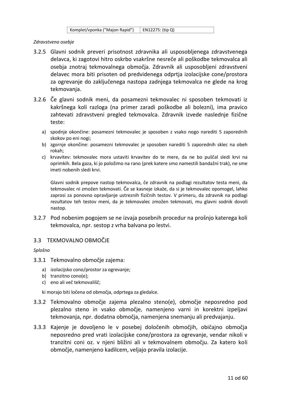| Komplet/vponka ("Majon Rapid") | EN12275: (tip Q) |
|--------------------------------|------------------|
|--------------------------------|------------------|

#### *Zdravstveno osebje*

- 3.2.5 Glavni sodnik preveri prisotnost zdravnika ali usposobljenega zdravstvenega delavca, ki zagotovi hitro oskrbo vsakršne nesreče ali poškodbe tekmovalca ali osebja znotraj tekmovalnega območja. Zdravnik ali usposobljeni zdravstveni delavec mora biti prisoten od predvidenega odprtja izolacijske cone/prostora za ogrevanje do zaključenega nastopa zadnjega tekmovalca ne glede na krog tekmovanja.
- 3.2.6 Če glavni sodnik meni, da posamezni tekmovalec ni sposoben tekmovati iz kakršnega koli razloga (na primer zaradi poškodbe ali bolezni), ima pravico zahtevati zdravstveni pregled tekmovalca. Zdravnik izvede naslednje fizične teste:
	- a) spodnje okončine: posamezni tekmovalec je sposoben z vsako nogo narediti 5 zaporednih skokov po eni nogi;
	- b) zgornje okončine: posamezni tekmovalec je sposoben narediti 5 zaporednih sklec na obeh rokah;
	- c) krvavitev: tekmovalec mora ustaviti krvavitev do te mere, da ne bo puščal sledi krvi na oprimkih. Bela gaza, ki jo položimo na rano (prek katere smo namestili bandažni trak), ne sme imeti nobenih sledi krvi.

Glavni sodnik prepove nastop tekmovalca, če zdravnik na podlagi rezultatov testa meni, da tekmovalec ni zmožen tekmovati. Če se kasneje izkaže, da si je tekmovalec opomogel, lahko zaprosi za ponovno opravljanje ustreznih fizičnih testov. V primeru, da zdravnik na podlagi rezultatov teh testov meni, da je tekmovalec zmožen tekmovati, mu glavni sodnik dovoli nastop.

3.2.7 Pod nobenim pogojem se ne izvaja posebnih procedur na prošnjo katerega koli tekmovalca, npr. sestop z vrha balvana po lestvi.

# <span id="page-10-0"></span>3.3 TEKMOVALNO OBMOČJE

#### *Splošno*

- 3.3.1 Tekmovalno območje zajema:
	- a) izolacijsko cono/prostor za ogrevanje;
	- b) tranzitno cono(e);
	- c) eno ali več tekmovališč;

ki morajo biti ločena od območja, odprtega za gledalce.

- 3.3.2 Tekmovalno območje zajema plezalno steno(e), območje neposredno pod plezalno steno in vsako območje, namenjeno varni in korektni izpeljavi tekmovanja, npr. dodatna območja, namenjena snemanju ali predvajanju.
- 3.3.3 Kajenje je dovoljeno le v posebej določenih območjih, običajno območja neposredno pred vrati izolacijske cone/prostora za ogrevanje, vendar nikoli v tranzitni coni oz. v njeni bližini ali v tekmovalnem območju. Za katero koli območje, namenjeno kadilcem, veljajo pravila izolacije.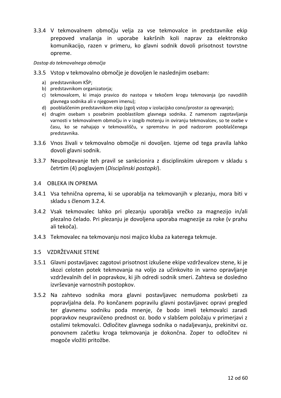3.3.4 V tekmovalnem območju velja za vse tekmovalce in predstavnike ekip prepoved vnašanja in uporabe kakršnih koli naprav za elektronsko komunikacijo, razen v primeru, ko glavni sodnik dovoli prisotnost tovrstne opreme.

#### *Dostop do tekmovalnega območja*

- 3.3.5 Vstop v tekmovalno območje je dovoljen le naslednjim osebam:
	- a) predstavnikom KŠP;
	- b) predstavnikom organizatorja;
	- c) tekmovalcem, ki imajo pravico do nastopa v tekočem krogu tekmovanja (po navodilih glavnega sodnika ali v njegovem imenu);
	- d) pooblaščenim predstavnikom ekip (zgolj vstop v izolacijsko cono/prostor za ogrevanje);
	- e) drugim osebam s posebnim pooblastilom glavnega sodnika. Z namenom zagotavljanja varnosti v tekmovalnem območju in v izogib motenju in oviranju tekmovalcev, so te osebe v času, ko se nahajajo v tekmovališču, v spremstvu in pod nadzorom pooblaščenega predstavnika.
- 3.3.6 Vnos živali v tekmovalno območje ni dovoljen. Izjeme od tega pravila lahko dovoli glavni sodnik.
- 3.3.7 Neupoštevanje teh pravil se sankcionira z disciplinskim ukrepom v skladu s četrtim (4) poglavjem (*Disciplinski postopki*).

# <span id="page-11-0"></span>3.4 OBLEKA IN OPREMA

- 3.4.1 Vsa tehnična oprema, ki se uporablja na tekmovanjih v plezanju, mora biti v skladu s členom 3.2.4.
- 3.4.2 Vsak tekmovalec lahko pri plezanju uporablja vrečko za magnezijo in/ali plezalno čelado. Pri plezanju je dovoljena uporaba magnezije za roke (v prahu ali tekoča).
- 3.4.3 Tekmovalec na tekmovanju nosi majico kluba za katerega tekmuje.

# <span id="page-11-1"></span>3.5 VZDRŽEVANJE STENE

- 3.5.1 Glavni postavljavec zagotovi prisotnost izkušene ekipe vzdrževalcev stene, ki je skozi celoten potek tekmovanja na voljo za učinkovito in varno opravljanje vzdrževalnih del in popravkov, ki jih odredi sodnik smeri. Zahteva se dosledno izvrševanje varnostnih postopkov.
- 3.5.2 Na zahtevo sodnika mora glavni postavljavec nemudoma poskrbeti za popravljalna dela. Po končanem popravilu glavni postavljavec opravi pregled ter glavnemu sodniku poda mnenje, če bodo imeli tekmovalci zaradi popravkov neupravičeno prednost oz. bodo v slabšem položaju v primerjavi z ostalimi tekmovalci. Odločitev glavnega sodnika o nadaljevanju, prekinitvi oz. ponovnem začetku kroga tekmovanja je dokončna. Zoper to odločitev ni mogoče vložiti pritožbe.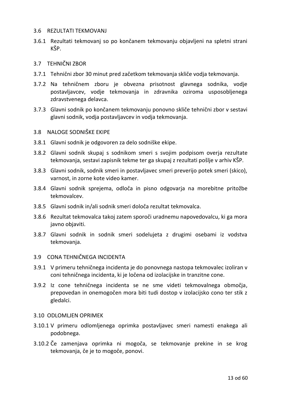#### <span id="page-12-0"></span>3.6 REZULTATI TEKMOVANJ

3.6.1 Rezultati tekmovanj so po končanem tekmovanju objavljeni na spletni strani KŠP.

#### <span id="page-12-1"></span>3.7 TEHNIČNI ZBOR

- 3.7.1 Tehnični zbor 30 minut pred začetkom tekmovanja skliče vodja tekmovanja.
- 3.7.2 Na tehničnem zboru je obvezna prisotnost glavnega sodnika, vodje postavljavcev, vodje tekmovanja in zdravnika oziroma usposobljenega zdravstvenega delavca.
- 3.7.3 Glavni sodnik po končanem tekmovanju ponovno skliče tehnični zbor v sestavi glavni sodnik, vodja postavljavcev in vodja tekmovanja.

#### <span id="page-12-2"></span>3.8 NALOGE SODNIŠKE EKIPE

- 3.8.1 Glavni sodnik je odgovoren za delo sodniške ekipe.
- 3.8.2 Glavni sodnik skupaj s sodnikom smeri s svojim podpisom overja rezultate tekmovanja, sestavi zapisnik tekme ter ga skupaj z rezultati pošlje v arhiv KŠP.
- 3.8.3 Glavni sodnik, sodnik smeri in postavljavec smeri preverijo potek smeri (skico), varnost, in zorne kote video kamer.
- 3.8.4 Glavni sodnik sprejema, odloča in pisno odgovarja na morebitne pritožbe tekmovalcev.
- 3.8.5 Glavni sodnik in/ali sodnik smeri določa rezultat tekmovalca.
- 3.8.6 Rezultat tekmovalca takoj zatem sporoči uradnemu napovedovalcu, ki ga mora javno objaviti.
- 3.8.7 Glavni sodnik in sodnik smeri sodelujeta z drugimi osebami iz vodstva tekmovanja.

# <span id="page-12-3"></span>3.9 CONA TEHNIČNEGA INCIDENTA

- 3.9.1 V primeru tehničnega incidenta je do ponovnega nastopa tekmovalec izoliran v coni tehničnega incidenta, ki je ločena od izolacijske in tranzitne cone.
- 3.9.2 Iz cone tehničnega incidenta se ne sme videti tekmovalnega območja, prepovedan in onemogočen mora biti tudi dostop v izolacijsko cono ter stik z gledalci.

#### <span id="page-12-4"></span>3.10 ODLOMLJEN OPRIMEK

- 3.10.1 V primeru odlomljenega oprimka postavljavec smeri namesti enakega ali podobnega.
- 3.10.2 Če zamenjava oprimka ni mogoča, se tekmovanje prekine in se krog tekmovanja, če je to mogoče, ponovi.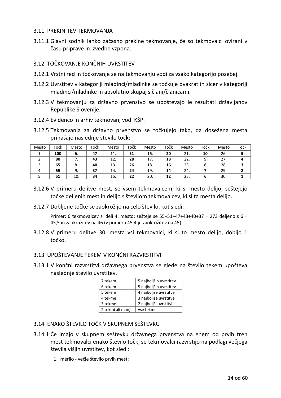# <span id="page-13-0"></span>3.11 PREKINITEV TEKMOVANJA

3.11.1 Glavni sodnik lahko začasno prekine tekmovanje, če so tekmovalci ovirani v času priprave in izvedbe vzpona.

# <span id="page-13-1"></span>3.12 TOČKOVANJE KONČNIH UVRSTITEV

- 3.12.1 Vrstni red in točkovanje se na tekmovanju vodi za vsako kategorijo posebej.
- 3.12.2 Uvrstitev v kategoriji mladinci/mladinke se točkuje dvakrat in sicer v kategoriji mladinci/mladinke in absolutno skupaj s člani/članicami.
- 3.12.3 V tekmovanju za državno prvenstvo se upoštevajo le rezultati državljanov Republike Slovenije.
- 3.12.4 Evidenco in arhiv tekmovanj vodi KŠP.
- 3.12.5 Tekmovanja za državno prvenstvo se točkujejo tako, da dosežena mesta prinašajo naslednje število točk:

| Mesto    | Točk | Mesto | Točk | Mesto | Točk | Mesto | Točk | Mesto | Točk | Mesto | Točk |
|----------|------|-------|------|-------|------|-------|------|-------|------|-------|------|
| ٠.       | 100  | 6.    | 47   | 11.   | 31   | 16.   | 20   | 21.   | 10   | 26.   |      |
| <u>.</u> | 80   |       | 43   | 12.   | 28   | 17.   | 18   | 22.   | a    | 27.   | Д    |
| 3.       | 65   | 8.    | 40   | 13.   | 26   | 18.   | 16   | 23.   | 8    | 28.   |      |
| 4.       | 55   | 9.    | 37   | 14.   | 24   | 19.   | 14   | 24.   |      | 29.   |      |
| J.       | 51   | 10.   | 34   | 15.   | 22   | 20.   | 12   | 25.   | n    | 30.   |      |

- 3.12.6 V primeru delitve mest, se vsem tekmovalcem, ki si mesto delijo, seštejejo točke deljenih mest in delijo s številom tekmovalcev, ki si ta mesta delijo.
- 3.12.7 Dobljene točke se zaokrožijo na celo število, kot sledi:

Primer: 6 tekmovalcev si deli 4. mesto: sešteje se 55+51+47+43+40+37 = 273 deljeno s 6 = 45,5 in zaokrožitev na 46 (v primeru 45,4 je zaokrožitev na 45).

3.12.8 V primeru delitve 30. mesta vsi tekmovalci, ki si to mesto delijo, dobijo 1 točko.

# <span id="page-13-2"></span>3.13 UPOŠTEVANJE TEKEM V KONČNI RAZVRSTITVI

3.13.1 V končni razvrstitvi državnega prvenstva se glede na število tekem upošteva naslednje število uvrstitev.

| 7 tekem          | 5 najboljših uvrstitev |
|------------------|------------------------|
| 6 tekem          | 5 najboljših uvrstitev |
| 5 tekem          | 4 najboljše uvrstitve  |
| 4 tekme          | 3 najboljše uvrstitve  |
| 3 tekme          | 2 najboljši uvrstitvi  |
| 2 tekmi ali manj | vse tekme              |

# <span id="page-13-3"></span>3.14 ENAKO ŠTEVILO TOČK V SKUPNEM SEŠTEVKU

- 3.14.1 Če imajo v skupnem seštevku državnega prvenstva na enem od prvih treh mest tekmovalci enako število točk, se tekmovalci razvrstijo na podlagi večjega števila višjih uvrstitev, kot sledi:
	- 1. merilo večje število prvih mest;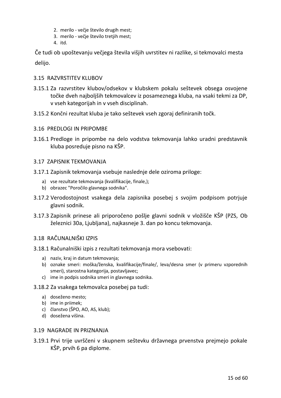- 2. merilo večje število drugih mest;
- 3. merilo večje število tretjih mest;
- 4. itd.

Če tudi ob upoštevanju večjega števila višjih uvrstitev ni razlike, si tekmovalci mesta delijo.

# <span id="page-14-0"></span>3.15 RAZVRSTITEV KLUBOV

- 3.15.1 Za razvrstitev klubov/odsekov v klubskem pokalu seštevek obsega osvojene točke dveh najboljših tekmovalcev iz posameznega kluba, na vsaki tekmi za DP, v vseh kategorijah in v vseh disciplinah.
- 3.15.2 Končni rezultat kluba je tako seštevek vseh zgoraj definiranih točk.
- <span id="page-14-1"></span>3.16 PREDLOGI IN PRIPOMBE
- 3.16.1 Predloge in pripombe na delo vodstva tekmovanja lahko uradni predstavnik kluba posreduje pisno na KŠP.

# <span id="page-14-2"></span>3.17 ZAPISNIK TEKMOVANJA

- 3.17.1 Zapisnik tekmovanja vsebuje naslednje dele oziroma priloge:
	- a) vse rezultate tekmovanja (kvalifikacije, finale,);
	- b) obrazec "Poročilo glavnega sodnika".
- 3.17.2 Verodostojnost vsakega dela zapisnika posebej s svojim podpisom potrjuje glavni sodnik.
- 3.17.3 Zapisnik prinese ali priporočeno pošlje glavni sodnik v vložišče KŠP (PZS, Ob železnici 30a, Ljubljana), najkasneje 3. dan po koncu tekmovanja.

# <span id="page-14-3"></span>3.18 RAČUNALNIŠKI IZPIS

- 3.18.1 Računalniški izpis z rezultati tekmovanja mora vsebovati:
	- a) naziv, kraj in datum tekmovanja;
	- b) oznake smeri: moška/ženska, kvalifikacije/finale/, leva/desna smer (v primeru vzporednih smeri), starostna kategorija, postavljavec;
	- c) ime in podpis sodnika smeri in glavnega sodnika.
- 3.18.2 Za vsakega tekmovalca posebej pa tudi:
	- a) doseženo mesto;
	- b) ime in priimek;
	- c) članstvo (ŠPO, AO, AS, klub);
	- d) dosežena višina.

#### <span id="page-14-4"></span>3.19 NAGRADE IN PRIZNANJA

3.19.1 Prvi trije uvrščeni v skupnem seštevku državnega prvenstva prejmejo pokale KŠP, prvih 6 pa diplome.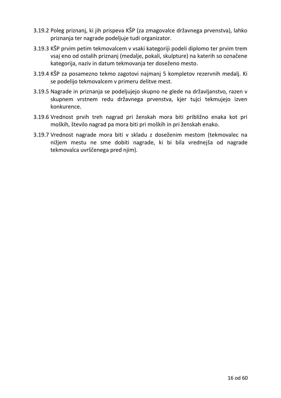- 3.19.2 Poleg priznanj, ki jih prispeva KŠP (za zmagovalce državnega prvenstva), lahko priznanja ter nagrade podeljuje tudi organizator.
- 3.19.3 KŠP prvim petim tekmovalcem v vsaki kategoriji podeli diplomo ter prvim trem vsaj eno od ostalih priznanj (medalje, pokali, skulpture) na katerih so označene kategorija, naziv in datum tekmovanja ter doseženo mesto.
- 3.19.4 KŠP za posamezno tekmo zagotovi najmanj 5 kompletov rezervnih medalj. Ki se podelijo tekmovalcem v primeru delitve mest.
- 3.19.5 Nagrade in priznanja se podeljujejo skupno ne glede na državljanstvo, razen v skupnem vrstnem redu državnega prvenstva, kjer tujci tekmujejo izven konkurence.
- 3.19.6 Vrednost prvih treh nagrad pri ženskah mora biti približno enaka kot pri moških, število nagrad pa mora biti pri moških in pri ženskah enako.
- 3.19.7 Vrednost nagrade mora biti v skladu z doseženim mestom (tekmovalec na nižjem mestu ne sme dobiti nagrade, ki bi bila vrednejša od nagrade tekmovalca uvrščenega pred njim).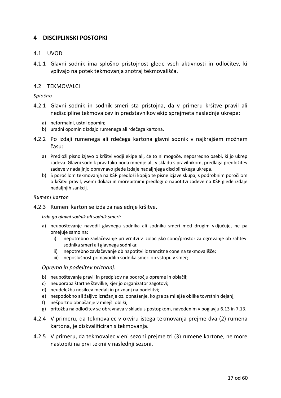# <span id="page-16-0"></span>**4 DISCIPLINSKI POSTOPKI**

# <span id="page-16-1"></span>4.1 UVOD

4.1.1 Glavni sodnik ima splošno pristojnost glede vseh aktivnosti in odločitev, ki vplivajo na potek tekmovanja znotraj tekmovališča.

#### <span id="page-16-2"></span>4.2 TEKMOVALCI

#### *Splošno*

- 4.2.1 Glavni sodnik in sodnik smeri sta pristojna, da v primeru kršitve pravil ali nediscipline tekmovalcev in predstavnikov ekip sprejmeta naslednje ukrepe:
	- a) neformalni, ustni opomin;
	- b) uradni opomin z izdajo rumenega ali rdečega kartona.
- 4.2.2 Po izdaji rumenega ali rdečega kartona glavni sodnik v najkrajšem možnem času:
	- a) Predloži pisno izjavo o kršitvi vodji ekipe ali, če to ni mogoče, neposredno osebi, ki jo ukrep zadeva. Glavni sodnik prav tako poda mnenje ali, v skladu s pravilnikom, predlaga predložitev zadeve v nadaljnjo obravnavo glede izdaje nadaljnjega disciplinskega ukrepa.
	- b) S poročilom tekmovanja na KŠP predloži kopijo te pisne izjave skupaj s podrobnim poročilom o kršitvi pravil, vsemi dokazi in morebitnimi predlogi o napotitvi zadeve na KŠP glede izdaje nadaljnjih sankcij.

#### *Rumeni karton*

4.2.3 Rumeni karton se izda za naslednje kršitve.

*Izda ga glavni sodnik ali sodnik smeri:*

- a) neupoštevanje navodil glavnega sodnika ali sodnika smeri med drugim vključuje, ne pa omejuje samo na:
	- i) nepotrebno zavlačevanje pri vrnitvi v izolacijsko cono/prostor za ogrevanje ob zahtevi sodnika smeri ali glavnega sodnika;
	- ii) nepotrebno zavlačevanje ob napotitvi iz tranzitne cone na tekmovališče;
	- iii) neposlušnost pri navodilih sodnika smeri ob vstopu v smer;

#### *Oprema in podelitev priznanj:*

- b) neupoštevanje pravil in predpisov na področju opreme in oblačil;
- c) neuporaba štartne številke, kjer jo organizator zagotovi;
- d) neudeležba nosilcev medalj in priznanj na podelitvi;
- e) nespodobno ali žaljivo izražanje oz. obnašanje, ko gre za milejše oblike tovrstnih dejanj;
- f) nešportno obnašanje v milejši obliki;
- g) pritožba na odločitev se obravnava v skladu s postopkom, navedenim v poglavju 6.13 in 7.13.
- 4.2.4 V primeru, da tekmovalec v okviru istega tekmovanja prejme dva (2) rumena kartona, je diskvalificiran s tekmovanja.
- 4.2.5 V primeru, da tekmovalec v eni sezoni prejme tri (3) rumene kartone, ne more nastopiti na prvi tekmi v naslednji sezoni.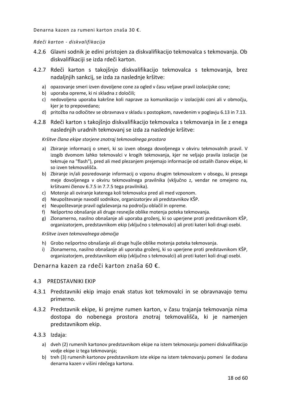Denarna kazen za rumeni karton znaša 30 €.

#### *Rdeči karton - diskvalifikacija*

- 4.2.6 Glavni sodnik je edini pristojen za diskvalifikacijo tekmovalca s tekmovanja. Ob diskvalifikaciji se izda rdeči karton.
- 4.2.7 Rdeči karton s takojšnjo diskvalifikacijo tekmovalca s tekmovanja, brez nadaljnjih sankcij, se izda za naslednje kršitve:
	- a) opazovanje smeri izven dovoljene cone za ogled v času veljave pravil izolacijske cone;
	- b) uporaba opreme, ki ni skladna z določili;
	- c) nedovoljena uporaba kakršne koli naprave za komunikacijo v izolacijski coni ali v območju, kjer je to prepovedano;
	- d) pritožba na odločitev se obravnava v skladu s postopkom, navedenim v poglavju 6.13 in 7.13.
- 4.2.8 Rdeči karton s takojšnjo diskvalifikacijo tekmovalca s tekmovanja in še z enega naslednjih uradnih tekmovanj se izda za naslednje kršitve:

#### *Kršitve člana ekipe storjene znotraj tekmovalnega prostora*

- a) Zbiranje informacij o smeri, ki so izven obsega dovoljenega v okviru tekmovalnih pravil. V izogib dvomom lahko tekmovalci v krogih tekmovanja, kjer ne veljajo pravila izolacije (se tekmuje na "flash"), pred ali med plezanjem prejemajo informacije od ostalih članov ekipe, ki so izven tekmovališča.
- b) Zbiranje in/ali posredovanje informacij o vzponu drugim tekmovalcem v obsegu, ki presega meje dovoljenega v okviru tekmovalnega pravilnika (vključno z, vendar ne omejeno na, kršitvami členov 6.7.5 in 7.7.5 tega pravilnika).
- c) Motenje ali oviranje katerega koli tekmovalca pred ali med vzponom.
- d) Neupoštevanje navodil sodnikov, organizatorjev ali predstavnikov KŠP.
- e) Neupoštevanje pravil oglaševanja na področju oblačil in opreme.
- f) Nešportno obnašanje ali druge resnejše oblike motenja poteka tekmovanja.
- g) Zlonamerno, nasilno obnašanje ali uporaba groženj, ki so uperjene proti predstavnikom KŠP, organizatorjem, predstavnikom ekip (vključno s tekmovalci) ali proti kateri koli drugi osebi.

#### *Kršitve izven tekmovalnega območja*

- h) Grobo nešportno obnašanje ali druge hujše oblike motenja poteka tekmovanja.
- i) Zlonamerno, nasilno obnašanje ali uporaba groženj, ki so uperjene proti predstavnikom KŠP, organizatorjem, predstavnikom ekip (vključno s tekmovalci) ali proti kateri koli drugi osebi.

#### Denarna kazen za rdeči karton znaša 60 €.

#### <span id="page-17-0"></span>4.3 PREDSTAVNIKI EKIP

- 4.3.1 Predstavniki ekip imajo enak status kot tekmovalci in se obravnavajo temu primerno.
- 4.3.2 Predstavnik ekipe, ki prejme rumen karton, v času trajanja tekmovanja nima dostopa do nobenega prostora znotraj tekmovališča, ki je namenjen predstavnikom ekip.

#### 4.3.3 Izdaja:

- a) dveh (2) rumenih kartonov predstavnikom ekipe na istem tekmovanju pomeni diskvalifikacijo vodje ekipe iz tega tekmovanja;
- b) treh (3) rumenih kartonov predstavnikom iste ekipe na istem tekmovanju pomeni še dodana denarna kazen v višini rdečega kartona.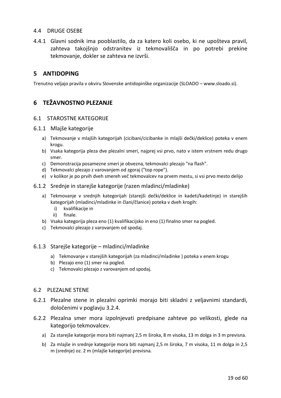# <span id="page-18-0"></span>4.4 DRUGE OSEBE

4.4.1 Glavni sodnik ima pooblastilo, da za katero koli osebo, ki ne upošteva pravil, zahteva takojšnjo odstranitev iz tekmovališča in po potrebi prekine tekmovanje, dokler se zahteva ne izvrši.

# <span id="page-18-1"></span>**5 ANTIDOPING**

Trenutno veljajo pravila v okviru Slovenske antidopinške organizacije (SLOADO – www.sloado.si).

# <span id="page-18-2"></span>**6 TEŽAVNOSTNO PLEZANJE**

#### <span id="page-18-3"></span>6.1 STAROSTNE KATEGORIJE

#### 6.1.1 Mlajše kategorije

- a) Tekmovanje v mlajših kategorijah (cicibani/cicibanke in mlajši dečki/deklice) poteka v enem krogu.
- b) Vsaka kategorija pleza dve plezalni smeri, najprej vsi prvo, nato v istem vrstnem redu drugo smer.
- c) Demonstracija posamezne smeri je obvezna, tekmovalci plezajo "na flash".
- d) Tekmovalci plezajo z varovanjem od zgoraj ("top rope").
- e) v kolikor je po prvih dveh smereh več tekmovalcev na prvem mestu, si vsi prvo mesto delijo
- 6.1.2 Srednje in starejše kategorije (razen mladinci/mladinke)
	- a) Tekmovanje v srednjih kategorijah (starejši dečki/deklice in kadeti/kadetinje) in starejših kategorijah (mladinci/mladinke in člani/članice) poteka v dveh krogih:
		- i) kvalifikacije in
		- ii) finale.
	- b) Vsaka kategorija pleza eno (1) kvalifikacijsko in eno (1) finalno smer na pogled.
	- c) Tekmovalci plezajo z varovanjem od spodaj.

#### 6.1.3 Starejše kategorije – mladinci/mladinke

- a) Tekmovanje v starejših kategorijah (za mladinci/mladinke ) poteka v enem krogu
- b) Plezajo eno (1) smer na pogled.
- c) Tekmovalci plezajo z varovanjem od spodaj.

#### <span id="page-18-4"></span>6.2 PLEZALNE STENE

- 6.2.1 Plezalne stene in plezalni oprimki morajo biti skladni z veljavnimi standardi, določenimi v poglavju 3.2.4.
- 6.2.2 Plezalna smer mora izpolnjevati predpisane zahteve po velikosti, glede na kategorijo tekmovalcev.
	- a) Za starejše kategorije mora biti najmanj 2,5 m široka, 8 m visoka, 13 m dolga in 3 m previsna.
	- b) Za mlajše in srednje kategorije mora biti najmanj 2,5 m široka, 7 m visoka, 11 m dolga in 2,5 m (srednje) oz. 2 m (mlajše kategorije) previsna.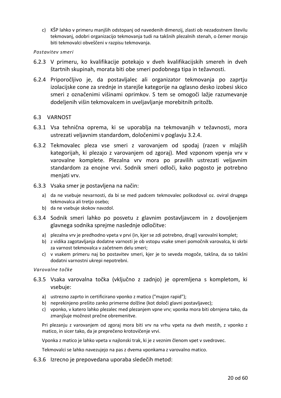c) KŠP lahko v primeru manjših odstopanj od navedenih dimenzij, zlasti ob nezadostnem številu tekmovanj, odobri organizacijo tekmovanja tudi na takšnih plezalnih stenah, o čemer morajo biti tekmovalci obveščeni v razpisu tekmovanja.

#### *Postavitev smeri*

- 6.2.3 V primeru, ko kvalifikacije potekajo v dveh kvalifikacijskih smereh in dveh štartnih skupinah, morata biti obe smeri podobnega tipa in težavnosti.
- 6.2.4 Priporočljivo je, da postavljalec ali organizator tekmovanja po zaprtju izolacijske cone za srednje in starejše kategorije na oglasno desko izobesi skico smeri z označenimi višinami oprimkov. S tem se omogoči lažje razumevanje dodeljenih višin tekmovalcem in uveljavljanje morebitnih pritožb.

# <span id="page-19-0"></span>6.3 VARNOST

- 6.3.1 Vsa tehnična oprema, ki se uporablja na tekmovanjih v težavnosti, mora ustrezati veljavnim standardom, določenimi v poglavju 3.2.4.
- 6.3.2 Tekmovalec pleza vse smeri z varovanjem od spodaj (razen v mlajših kategorijah, ki plezajo z varovanjem od zgoraj). Med vzponom vpenja vrv v varovalne komplete. Plezalna vrv mora po pravilih ustrezati veljavnim standardom za enojne vrvi. Sodnik smeri odloči, kako pogosto je potrebno menjati vrv.
- 6.3.3 Vsaka smer je postavljena na način:
	- a) da ne vsebuje nevarnosti, da bi se med padcem tekmovalec poškodoval oz. oviral drugega tekmovalca ali tretjo osebo;
	- b) da ne vsebuje skokov navzdol.
- 6.3.4 Sodnik smeri lahko po posvetu z glavnim postavljavcem in z dovoljenjem glavnega sodnika sprejme naslednje odločitve:
	- a) plezalna vrv je predhodno vpeta v prvi (in, kjer se zdi potrebno, drugi) varovalni komplet;
	- b) z vidika zagotavljanja dodatne varnosti je ob vstopu vsake smeri pomočnik varovalca, ki skrbi za varnost tekmovalca v začetnem delu smeri;
	- c) v vsakem primeru naj bo postavitev smeri, kjer je to seveda mogoče, takšna, da so takšni dodatni varnostni ukrepi nepotrebni.

#### *Varovalne točke*

- 6.3.5 Vsaka varovalna točka (vključno z zadnjo) je opremljena s kompletom, ki vsebuje:
	- a) ustrezno zaprto in certificirano vponko z matico ("majon rapid");
	- b) neprekinjeno prešito zanko primerne dolžine (kot določi glavni postavljavec);
	- c) vponko, v katero lahko plezalec med plezanjem vpne vrv; vponka mora biti obrnjena tako, da zmanjšuje možnost prečne obremenitve.

Pri plezanju z varovanjem od zgoraj mora biti vrv na vrhu vpeta na dveh mestih, z vponko z matico, in sicer tako, da je preprečeno krotovičenje vrvi.

Vponka z matico je lahko vpeta v najlonski trak, ki je z veznim členom vpet v svedrovec.

Tekmovalci se lahko navezujejo na pas z dvema vponkama z varovalno matico.

6.3.6 Izrecno je prepovedana uporaba sledečih metod: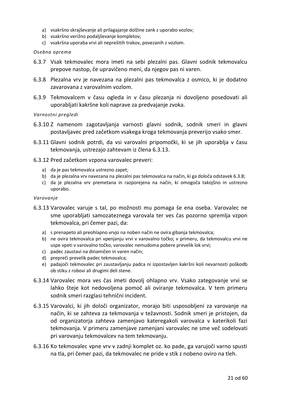- a) vsakršno skrajševanje ali prilagajanje dolžine zank z uporabo vozlov;
- b) vsakršno verižno podaljševanje kompletov;
- c) vsakršna uporaba vrvi ali neprešitih trakov, povezanih z vozlom.

#### *Osebna oprema*

- 6.3.7 Vsak tekmovalec mora imeti na sebi plezalni pas. Glavni sodnik tekmovalcu prepove nastop, če upravičeno meni, da njegov pas ni varen.
- 6.3.8 Plezalna vrv je navezana na plezalni pas tekmovalca z osmico, ki je dodatno zavarovana z varovalnim vozlom.
- 6.3.9 Tekmovalcem v času ogleda in v času plezanja ni dovoljeno posedovati ali uporabljati kakršne koli naprave za predvajanje zvoka.

*Varnostni pregledi* 

- 6.3.10 Z namenom zagotavljanja varnosti glavni sodnik, sodnik smeri in glavni postavljavec pred začetkom vsakega kroga tekmovanja preverijo vsako smer.
- 6.3.11 Glavni sodnik potrdi, da vsi varovalni pripomočki, ki se jih uporablja v času tekmovanja, ustrezajo zahtevam iz člena 6.3.13.
- 6.3.12 Pred začetkom vzpona varovalec preveri:
	- a) da je pas tekmovalca ustrezno zapet;
	- b) da je plezalna vrv navezana na plezalni pas tekmovalca na način, ki ga določa odstavek 6.3.8;
	- c) da je plezalna vrv premetana in razporejena na način, ki omogoča takojšno in ustrezno uporabo.

#### *Varovanje*

- 6.3.13 Varovalec varuje s tal, po možnosti mu pomaga še ena oseba. Varovalec ne sme uporabljati samozateznega varovala ter ves čas pozorno spremlja vzpon tekmovalca, pri čemer pazi, da:
	- a) s prenapeto ali preohlapno vrvjo na noben način ne ovira gibanja tekmovalca;
	- b) ne ovira tekmovalca pri vpenjanju vrvi v varovalno točko; v primeru, da tekmovalcu vrvi ne uspe vpeti v varovalno točko, varovalec nemudoma pobere prevelik lok vrvi;
	- c) padec zaustavi na dinamičen in varen način;
	- d) prepreči prevelik padec tekmovalca;
	- e) padajoči tekmovalec pri zaustavljanju padca ni izpostavljen kakršni koli nevarnosti poškodb ob stiku z robovi ali drugimi deli stene.
- 6.3.14 Varovalec mora ves čas imeti dovolj ohlapno vrv. Vsako zategovanje vrvi se lahko šteje kot nedovoljena pomoč ali oviranje tekmovalca. V tem primeru sodnik smeri razglasi tehnični incident.
- 6.3.15 Varovalci, ki jih določi organizator, morajo biti usposobljeni za varovanje na način, ki se zahteva za tekmovanja v težavnosti. Sodnik smeri je pristojen, da od organizatorja zahteva zamenjavo kateregakoli varovalca v katerikoli fazi tekmovanja. V primeru zamenjave zamenjani varovalec ne sme več sodelovati pri varovanju tekmovalcev na tem tekmovanju.
- 6.3.16 Ko tekmovalec vpne vrv v zadnji komplet oz. ko pade, ga varujoči varno spusti na tla, pri čemer pazi, da tekmovalec ne pride v stik z nobeno oviro na tleh.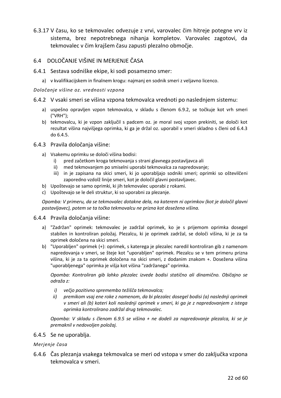6.3.17 V času, ko se tekmovalec odvezuje z vrvi, varovalec čim hitreje potegne vrv iz sistema, brez nepotrebnega nihanja kompletov. Varovalec zagotovi, da tekmovalec v čim krajšem času zapusti plezalno območje.

# <span id="page-21-0"></span>6.4 DOLOČANJE VIŠINE IN MERJENJE ČASA

- 6.4.1 Sestava sodniške ekipe, ki sodi posamezno smer:
	- a) v kvalifikacijskem in finalnem krogu: najmanj en sodnik smeri z veljavno licenco.

#### *Določanje višine oz. vrednosti vzpona*

- 6.4.2 V vsaki smeri se višina vzpona tekmovalca vrednoti po naslednjem sistemu:
	- a) uspešno opravljen vzpon tekmovalca, v skladu s členom 6.9.2, se točkuje kot vrh smeri ("VRH");
	- b) tekmovalcu, ki je vzpon zaključil s padcem oz. je moral svoj vzpon prekiniti, se določi kot rezultat višina najvišjega oprimka, ki ga je držal oz. uporabil v smeri skladno s členi od 6.4.3 do 6.4.5.
- 6.4.3 Pravila določanja višine:
	- a) Vsakemu oprimku se določi višina bodisi:
		- i) pred začetkom kroga tekmovanja s strani glavnega postavljavca ali
		- ii) med tekmovanjem po smiselni uporabi tekmovalca za napredovanje;
		- iii) in je zapisana na skici smeri, ki jo uporabljajo sodniki smeri; oprimki so oštevilčeni zaporedno vzdolž linije smeri, kot je določil glavni postavljavec.
	- b) Upoštevajo se samo oprimki, ki jih tekmovalec uporabi z rokami.
	- c) Upoštevajo se le deli struktur, ki so uporabni za plezanje.

*Opomba: V primeru, da se tekmovalec dotakne dela, na katerem ni oprimkov (kot je določil glavni postavljavec), potem se ta točka tekmovalcu ne prizna kot dosežena višina.* 

#### 6.4.4 Pravila določanja višine:

- a) "Zadržan" oprimek: tekmovalec je zadržal oprimek, ko je s prijemom oprimka dosegel stabilen in kontroliran položaj. Plezalcu, ki je oprimek zadržal, se določi višina, ki je za ta oprimek določena na skici smeri.
- b) "Uporabljen" oprimek (+): oprimek, s katerega je plezalec naredil kontroliran gib z namenom napredovanja v smeri, se šteje kot "uporabljen" oprimek. Plezalcu se v tem primeru prizna višina, ki je za ta oprimek določena na skici smeri, z dodanim znakom +. Dosežena višina "uporabljenega" oprimka je višja kot višina "zadržanega" oprimka.

*Opomba: Kontroliran gib lahko plezalec izvede bodisi statično ali dinamično. Običajno se odraža z:*

- *i) večjo pozitivno spremembo težišča tekmovalca;*
- *ii) premikom vsaj ene roke z namenom, da bi plezalec dosegel bodisi (a) naslednji oprimek v smeri ali (b) kateri koli naslednji oprimek v smeri, ki ga je z napredovanjem z istega oprimka kontrolirano zadržal drug tekmovalec.*

*Opomba: V skladu s členom 6.9.5 se višina + ne dodeli za napredovanje plezalca, ki se je premaknil v nedovoljen položaj.*

#### 6.4.5 Se ne uporablja.

#### *Merjenje časa*

6.4.6 Čas plezanja vsakega tekmovalca se meri od vstopa v smer do zaključka vzpona tekmovalca v smeri.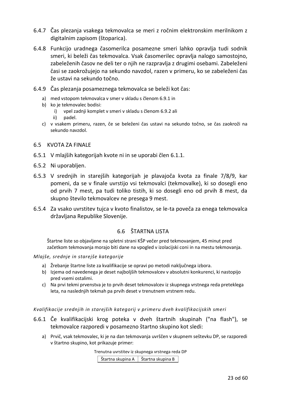- 6.4.7 Čas plezanja vsakega tekmovalca se meri z ročnim elektronskim merilnikom z digitalnim zapisom (štoparica).
- 6.4.8 Funkcijo uradnega časomerilca posamezne smeri lahko opravlja tudi sodnik smeri, ki beleži čas tekmovalca. Vsak časomerilec opravlja nalogo samostojno, zabeleženih časov ne deli ter o njih ne razpravlja z drugimi osebami. Zabeleženi časi se zaokrožujejo na sekundo navzdol, razen v primeru, ko se zabeleženi čas že ustavi na sekundo točno.
- 6.4.9 Čas plezanja posameznega tekmovalca se beleži kot čas:
	- a) med vstopom tekmovalca v smer v skladu s členom 6.9.1 in
	- b) ko je tekmovalec bodisi:
		- i) vpel zadnji komplet v smeri v skladu s členom 6.9.2 ali
		- ii) padel.
	- c) v vsakem primeru, razen, če se beleženi čas ustavi na sekundo točno, se čas zaokroži na sekundo navzdol.

#### <span id="page-22-0"></span>6.5 KVOTA ZA FINALE

- 6.5.1 V mlajših kategorijah kvote ni in se uporabi člen 6.1.1.
- 6.5.2 Ni uporabljen.
- 6.5.3 V srednjih in starejših kategorijah je plavajoča kvota za finale 7/8/9, kar pomeni, da se v finale uvrstijo vsi tekmovalci (tekmovalke), ki so dosegli eno od prvih 7 mest, pa tudi toliko tistih, ki so dosegli eno od prvih 8 mest, da skupno število tekmovalcev ne presega 9 mest.
- <span id="page-22-1"></span>6.5.4 Za vsako uvrstitev tujca v kvoto finalistov, se le-ta poveča za enega tekmovalca državljana Republike Slovenije.

# 6.6 ŠTARTNA LISTA

Štartne liste so objavljene na spletni strani KŠP večer pred tekmovanjem, 45 minut pred začetkom tekmovanja morajo biti dane na vpogled v izolacijski coni in na mestu tekmovanja.

*Mlajše, srednje in starejše kategorije*

- a) Žrebanje štartne liste za kvalifikacije se opravi po metodi naključnega izbora.
- b) Izjema od navedenega je deset najboljših tekmovalcev v absolutni konkurenci, ki nastopijo pred vsemi ostalimi.
- c) Na prvi tekmi prvenstva je to prvih deset tekmovalcev iz skupnega vrstnega reda preteklega leta, na naslednjih tekmah pa prvih deset v trenutnem vrstnem redu.

*Kvalifikacije srednjih in starejših kategorij v primeru dveh kvalifikacijskih smeri*

- 6.6.1 Če kvalifikacijski krog poteka v dveh štartnih skupinah ("na flash"), se tekmovalce razporedi v posamezno štartno skupino kot sledi:
	- a) Prvič, vsak tekmovalec, ki je na dan tekmovanja uvrščen v skupnem seštevku DP, se razporedi v štartno skupino, kot prikazuje primer:

Trenutna uvrstitev iz skupnega vrstnega reda DP

Štartna skupina A  $\vert$  Štartna skupina B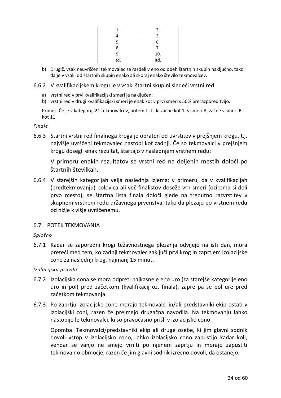|      | 2.   |
|------|------|
|      |      |
| 5.   | 6.   |
| 8.   | 7.   |
| Ч.   | 10.  |
| itd. | itd. |

- b) Drugič, vsak neuvrščeni tekmovalec se razdeli v eno od obeh štartnih skupin naključno, tako da je v vsaki od štartnih skupin enako ali skoraj enako število tekmovalcev.
- 6.6.2 V kvalifikacijskem krogu je v vsaki štartni skupini sledeči vrstni red:
	- a) vrstni red v prvi kvalifikacijski smeri je naključen;
	- b) vrstni red v drugi kvalifikacijski smeri je enak kot v prvi smeri s 50% prerazporeditvijo.

Primer: Če je v kategoriji 21 tekmovalcev, potem tisti, ki začne kot 1. v smeri A, začne v smeri B kot 11.

# *Finale*

6.6.3 Štartni vrstni red finalnega kroga je obraten od uvrstitev v prejšnjem krogu, t.j. najvišje uvrščeni tekmovalec nastopi kot zadnji. Če so tekmovalci v prejšnjem krogu dosegli enak rezultat, štartajo v naslednjem vrstnem redu:

V primeru enakih rezultatov se vrstni red na deljenih mestih določi po štartnih številkah.

6.6.4 V starejših kategorijah velja naslednja izjema: v primeru, da v kvalifikacijah (predtekmovanju) polovica ali več finalistov doseže vrh smeri (oziroma si deli prvo mesto), se štartna lista finala določi glede na trenutno razvrstitev v skupnem vrstnem redu državnega prvenstva, tako da plezajo po vrstnem redu od nižje k višje uvrščenemu.

# <span id="page-23-0"></span>6.7 POTEK TEKMOVANJA

# *Splošno*

6.7.1 Kadar se zaporedni krogi težavnostnega plezanja odvijejo na isti dan, mora preteči med tem, ko zadnji tekmovalec zaključi prvi krog in zaprtjem izolacijske cone za naslednji krog, najmanj 15 minut.

*Izolacijska pravila* 

- 6.7.2 Izolacijska cona se mora odpreti najkasneje eno uro (za starejše kategorije eno uro in pol) pred začetkom (kvalifikacij oz. finala), zapre pa se pol ure pred začetkom tekmovanja.
- 6.7.3 Po zaprtju izolacijske cone morajo tekmovalci in/ali predstavniki ekip ostati v izolacijski coni, razen če prejmejo drugačna navodila. Na tekmovanju lahko nastopijo le tekmovalci, ki so pravočasno prišli v izolacijsko cono.

Opomba: Tekmovalci/predstavniki ekip ali druge osebe, ki jim glavni sodnik dovoli vstop v izolacijsko cono, lahko izolacijsko cono zapustijo kadar koli, vendar se vanjo ne smejo vrniti po njenem zaprtju in morajo zapustiti tekmovalno območje, razen če jim glavni sodnik izrecno dovoli, da ostanejo.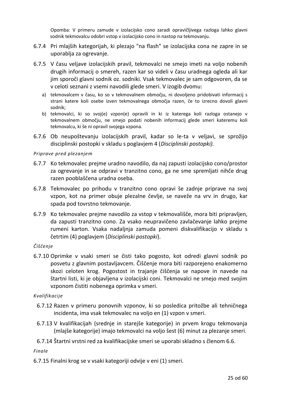Opomba: V primeru zamude v izolacijsko cono zaradi opravičljivega razloga lahko glavni sodnik tekmovalcu odobri vstop v izolacijsko cono in nastop na tekmovanju.

- 6.7.4 Pri mlajših kategorijah, ki plezajo "na flash" se izolacijska cona ne zapre in se uporablja za ogrevanje.
- 6.7.5 V času veljave izolacijskih pravil, tekmovalci ne smejo imeti na voljo nobenih drugih informacij o smereh, razen kar so videli v času uradnega ogleda ali kar jim sporoči glavni sodnik oz. sodniki. Vsak tekmovalec je sam odgovoren, da se v celoti seznani z vsemi navodili glede smeri. V izogib dvomu:
	- a) tekmovalcem v času, ko so v tekmovalnem območju, ni dovoljeno pridobivati informacij s strani katere koli osebe izven tekmovalnega območja razen, če to izrecno dovoli glavni sodnik;
	- b) tekmovalci, ki so svoj(e) vzpon(e) opravili in ki iz katerega koli razloga ostanejo v tekmovalnem območju, ne smejo podati nobenih informacij glede smeri kateremu koli tekmovalcu, ki še ni opravil svojega vzpona.
- 6.7.6 Ob neupoštevanju izolacijskih pravil, kadar so le-ta v veljavi, se sprožijo disciplinski postopki v skladu s poglavjem 4 (*Disciplinski postopki).*

# *Priprave pred plezanjem*

- 6.7.7 Ko tekmovalec prejme uradno navodilo, da naj zapusti izolacijsko cono/prostor za ogrevanje in se odpravi v tranzitno cono, ga ne sme spremljati nihče drug razen pooblaščena uradna oseba.
- 6.7.8 Tekmovalec po prihodu v tranzitno cono opravi še zadnje priprave na svoj vzpon, kot na primer obuje plezalne čevlje, se naveže na vrv in drugo, kar spada pod tovrstno tekmovanje.
- 6.7.9 Ko tekmovalec prejme navodilo za vstop v tekmovališče, mora biti pripravljen, da zapusti tranzitno cono. Za vsako neupravičeno zavlačevanje lahko prejme rumeni karton. Vsaka nadaljnja zamuda pomeni diskvalifikacijo v skladu s četrtim (4) poglavjem (*Disciplinski postopki*).

# *Čiščenje*

6.7.10 Oprimke v vsaki smeri se čisti tako pogosto, kot odredi glavni sodnik po posvetu z glavnim postavljavcem. Čiščenje mora biti razporejeno enakomerno skozi celoten krog. Pogostost in trajanje čiščenja se napove in navede na štartni listi, ki je objavljena v izolacijski coni. Tekmovalci ne smejo med svojim vzponom čistiti nobenega oprimka v smeri.

#### *Kvalifikacije*

- 6.7.12 Razen v primeru ponovnih vzponov, ki so posledica pritožbe ali tehničnega incidenta, ima vsak tekmovalec na voljo en (1) vzpon v smeri.
- 6.7.13 V kvalifikacijah (srednje in starejše kategorije) in prvem krogu tekmovanja (mlajše kategorije) imajo tekmovalci na voljo šest (6) minut za plezanje smeri.
- 6.7.14 Štartni vrstni red za kvalifikacijske smeri se uporabi skladno s členom 6.6.

*Finale*

6.7.15 Finalni krog se v vsaki kategoriji odvije v eni (1) smeri.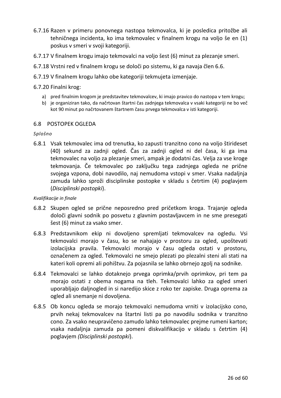- 6.7.16 Razen v primeru ponovnega nastopa tekmovalca, ki je posledica pritožbe ali tehničnega incidenta, ko ima tekmovalec v finalnem krogu na voljo še en (1) poskus v smeri v svoji kategoriji.
- 6.7.17 V finalnem krogu imajo tekmovalci na voljo šest (6) minut za plezanje smeri.
- 6.7.18 Vrstni red v finalnem krogu se določi po sistemu, ki ga navaja člen 6.6.
- 6.7.19 V finalnem krogu lahko obe kategoriji tekmujeta izmenjaje.
- 6.7.20 Finalni krog:
	- a) pred finalnim krogom je predstavitev tekmovalcev, ki imajo pravico do nastopa v tem krogu;
	- b) je organiziran tako, da načrtovan štartni čas zadnjega tekmovalca v vsaki kategoriji ne bo več kot 90 minut po načrtovanem štartnem času prvega tekmovalca v isti kategoriji.

#### <span id="page-25-0"></span>6.8 POSTOPEK OGLEDA

#### *Splošno*

6.8.1 Vsak tekmovalec ima od trenutka, ko zapusti tranzitno cono na voljo štirideset (40) sekund za zadnji ogled. Čas za zadnji ogled ni del časa, ki ga ima tekmovalec na voljo za plezanje smeri, ampak je dodatni čas. Velja za vse kroge tekmovanja. Če tekmovalec po zaključku tega zadnjega ogleda ne prične svojega vzpona, dobi navodilo, naj nemudoma vstopi v smer. Vsaka nadaljnja zamuda lahko sproži disciplinske postopke v skladu s četrtim (4) poglavjem (*Disciplinski postopki*).

#### *Kvalifikacije in finale*

- 6.8.2 Skupen ogled se prične neposredno pred pričetkom kroga. Trajanje ogleda določi glavni sodnik po posvetu z glavnim postavljavcem in ne sme presegati šest (6) minut za vsako smer.
- 6.8.3 Predstavnikom ekip ni dovoljeno spremljati tekmovalcev na ogledu. Vsi tekmovalci morajo v času, ko se nahajajo v prostoru za ogled, upoštevati izolacijska pravila. Tekmovalci morajo v času ogleda ostati v prostoru, označenem za ogled. Tekmovalci ne smejo plezati po plezalni steni ali stati na kateri koli opremi ali pohištvu. Za pojasnila se lahko obrnejo zgolj na sodnike.
- 6.8.4 Tekmovalci se lahko dotaknejo prvega oprimka/prvih oprimkov, pri tem pa morajo ostati z obema nogama na tleh. Tekmovalci lahko za ogled smeri uporabljajo daljnogled in si naredijo skice z roko ter zapiske. Druga oprema za ogled ali snemanje ni dovoljena.
- 6.8.5 Ob koncu ogleda se morajo tekmovalci nemudoma vrniti v izolacijsko cono, prvih nekaj tekmovalcev na štartni listi pa po navodilu sodnika v tranzitno cono. Za vsako neupravičeno zamudo lahko tekmovalec prejme rumeni karton; vsaka nadaljnja zamuda pa pomeni diskvalifikacijo v skladu s četrtim (4) poglavjem *(Disciplinski postopki*).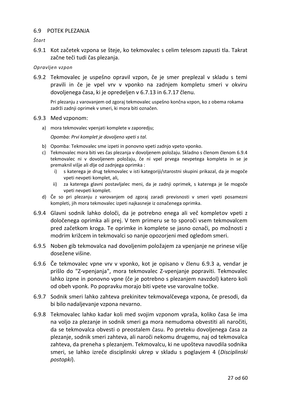# <span id="page-26-0"></span>6.9 POTEK PLEZANJA

*Štart*

6.9.1 Kot začetek vzpona se šteje, ko tekmovalec s celim telesom zapusti tla. Takrat začne teči tudi čas plezanja.

*Opravljen vzpon*

6.9.2 Tekmovalec je uspešno opravil vzpon, če je smer preplezal v skladu s temi pravili in če je vpel vrv v vponko na zadnjem kompletu smeri v okviru dovoljenega časa, ki je opredeljen v 6.7.13 in 6.7.17 členu.

Pri plezanju z varovanjem od zgoraj tekmovalec uspešno končna vzpon, ko z obema rokama zadrži zadnji oprimek v smeri, ki mora biti označen.

- 6.9.3 Med vzponom:
	- a) mora tekmovalec vpenjati komplete v zaporedju;

*Opomba: Prvi komplet je dovoljeno vpeti s tal.* 

- b) Opomba: Tekmovalec sme izpeti in ponovno vpeti zadnjo vpeto vponko.
- c) Tekmovalec mora biti ves čas plezanja v dovoljenem položaju. Skladno s členom členom 6.9.4 tekmovalec ni v dovoljenem položaju, če ni vpel prvega nevpetega kompleta in se je premaknil višje ali dlje od zadnjega oprimka :
	- i) s katerega je drug tekmovalec v isti kategoriji/starostni skupini prikazal, da je mogoče vpeti nevpeti komplet, ali,
	- ii) za katerega glavni postavljalec meni, da je zadnji oprimek, s katerega je še mogoče vpeti nevpeti komplet.
- d) Če so pri plezanju z varovanjem od zgoraj zaradi previsnosti v smeri vpeti posamezni kompleti, jih mora tekmovalec izpeti najkasneje iz označenega oprimka.
- 6.9.4 Glavni sodnik lahko določi, da je potrebno enega ali več kompletov vpeti z določenega oprimka ali prej. V tem primeru se to sporoči vsem tekmovalcem pred začetkom kroga. Te oprimke in komplete se jasno označi, po možnosti z modrim križcem in tekmovalci so nanje opozorjeni med ogledom smeri.
- 6.9.5 Noben gib tekmovalca nad dovoljenim položajem za vpenjanje ne prinese višje dosežene višine.
- 6.9.6 Če tekmovalec vpne vrv v vponko, kot je opisano v členu 6.9.3 a, vendar je prišlo do "Z-vpenjanja", mora tekmovalec Z-vpenjanje popraviti. Tekmovalec lahko izpne in ponovno vpne (če je potrebno s plezanjem navzdol) katero koli od obeh vponk. Po popravku morajo biti vpete vse varovalne točke.
- 6.9.7 Sodnik smeri lahko zahteva prekinitev tekmovalčevega vzpona, če presodi, da bi bilo nadaljevanje vzpona nevarno.
- 6.9.8 Tekmovalec lahko kadar koli med svojim vzponom vpraša, koliko časa še ima na voljo za plezanje in sodnik smeri ga mora nemudoma obvestiti ali naročiti, da se tekmovalca obvesti o preostalem času. Po preteku dovoljenega časa za plezanje, sodnik smeri zahteva, ali naroči nekomu drugemu, naj od tekmovalca zahteva, da preneha s plezanjem. Tekmovalcu, ki ne upošteva navodila sodnika smeri, se lahko izreče disciplinski ukrep v skladu s poglavjem 4 (*Disciplinski postopki*).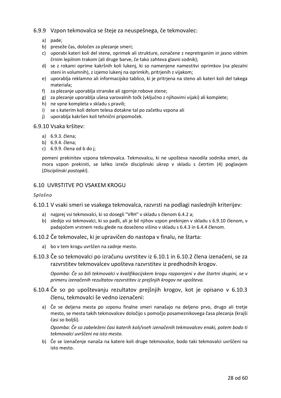# 6.9.9 Vzpon tekmovalca se šteje za neuspešnega, če tekmovalec:

- a) pade;
- b) preseže čas, določen za plezanje smeri;
- c) uporabi kateri koli del stene, oprimek ali strukture, označene z nepretrganim in jasno vidnim črnim lepilnim trakom (ali druge barve, če tako zahteva glavni sodnik);
- d) se z rokami oprime kakršnih koli lukenj, ki so namenjene namestitvi oprimkov (na plezalni steni in volumnih), z izjemo lukenj na oprimkih, pritrjenih z vijakom;
- e) uporablja reklamno ali informacijsko tablico, ki je pritrjena na steno ali kateri koli del takega materiala;
- f) za plezanje uporablja stranske ali zgornje robove stene;
- g) za plezanje uporablja ušesa varovalnih točk (vključno z njihovimi vijaki) ali komplete;
- h) ne vpne kompleta v skladu s pravili;
- i) se s katerim koli delom telesa dotakne tal po začetku vzpona ali
- j) uporablja kakršen koli tehnični pripomoček.

#### 6.9.10 Vsaka kršitev:

- a) 6.9.3. člena;
- b) 6.9.4. člena;
- c) 6.9.9. člena od b do j;

pomeni prekinitev vzpona tekmovalca. Tekmovalcu, ki ne upošteva navodila sodnika smeri, da mora vzpon prekiniti, se lahko izreče disciplinski ukrep v skladu s četrtim (4) poglavjem (*Disciplinski postopki*).

#### <span id="page-27-0"></span>6.10 UVRSTITVE PO VSAKEM KROGU

#### *Splošno*

6.10.1 V vsaki smeri se vsakega tekmovalca, razvrsti na podlagi naslednjih kriterijev:

- a) najprej vsi tekmovalci, ki so dosegli "VRH" v skladu s členom 6.4.2 a;
- b) sledijo vsi tekmovalci, ki so padli, ali je bil njihov vzpon prekinjen v skladu s 6.9.10 členom, v padajočem vrstnem redu glede na doseženo višino v skladu s 6.4.3 in 6.4.4 členom.

6.10.2 Če tekmovalec, ki je upravičen do nastopa v finalu, ne štarta:

- a) bo v tem krogu uvrščen na zadnje mesto.
- 6.10.3 Če so tekmovalci po izračunu uvrstitev iz 6.10.1 in 6.10.2 člena izenačeni, se za razvrstitev tekmovalcev upošteva razvrstitev iz predhodnih krogov.

*Opomba: Če so bili tekmovalci v kvalifikacijskem krogu razporejeni v dve štartni skupini, se v primeru izenačenih rezultatov razvrstitev iz prejšnjih krogov ne upošteva.*

- 6.10.4 Če so po upoštevanju rezultatov prejšnjih krogov, kot je opisano v 6.10.3 členu, tekmovalci še vedno izenačeni:
	- a) Če se deljena mesta po vzponu finalne smeri nanašajo na deljeno prvo, drugo ali tretje mesto, se mesta takih tekmovalcev določijo s pomočjo posameznikovega časa plezanja (krajši časi so boljši).

*Opomba: Če so zabeleženi časi katerih koli/vseh izenačenih tekmovalcev enaki, potem bodo ti tekmovalci uvrščeni na isto mesto.*

b) Če se izenačenje nanaša na katere koli druge tekmovalce, bodo taki tekmovalci uvrščeni na isto mesto.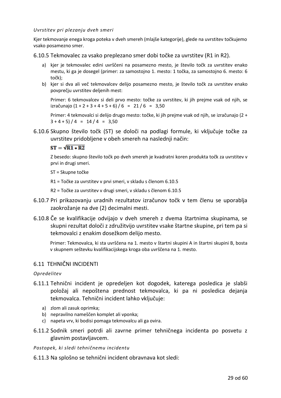#### *Uvrstitev pri plezanju dveh smeri*

Kjer tekmovanje enega kroga poteka v dveh smereh (mlajše kategorije), glede na uvrstitev točkujemo vsako posamezno smer.

6.10.5 Tekmovalec za vsako preplezano smer dobi točke za uvrstitev (R1 in R2).

- a) kjer je tekmovalec edini uvrščeni na posamezno mesto, je število točk za uvrstitev enako mestu, ki ga je dosegel (primer: za samostojno 1. mesto: 1 točka, za samostojno 6. mesto: 6 točk);
- b) kjer si dva ali več tekmovalcev delijo posamezno mesto, je število točk za uvrstitev enako povprečju uvrstitev deljenih mest:

Primer: 6 tekmovalcev si deli prvo mesto: točke za uvrstitev, ki jih prejme vsak od njih, se izračunajo  $(1 + 2 + 3 + 4 + 5 + 6) / 6 = 21 / 6 = 3,50$ 

Primer: 4 tekmovalci si delijo drugo mesto: točke, ki jih prejme vsak od njih, se izračunajo (2 +  $3 + 4 + 5$  / 4 = 14 / 4 = 3,50

6.10.6 Skupno število točk (ST) se določi na podlagi formule, ki vključuje točke za uvrstitev pridobljene v obeh smereh na naslednji način:

#### $ST = \sqrt{R1 + R2}$

Z besedo: skupno število točk po dveh smereh je kvadratni koren produkta točk za uvrstitev v prvi in drugi smeri.

ST = Skupne točke

R1 = Točke za uvrstitev v prvi smeri, v skladu s členom 6.10.5

R2 = Točke za uvrstitev v drugi smeri, v skladu s členom 6.10.5

- 6.10.7 Pri prikazovanju uradnih rezultatov izračunov točk v tem členu se uporablja zaokrožanje na dve (2) decimalni mesti.
- 6.10.8 Če se kvalifikacije odvijajo v dveh smereh z dvema štartnima skupinama, se skupni rezultat določi z združitvijo uvrstitev vsake štartne skupine, pri tem pa si tekmovalci z enakim dosežkom delijo mesto.

Primer: Tekmovalca, ki sta uvrščena na 1. mesto v štartni skupini A in štartni skupini B, bosta v skupnem seštevku kvalifikacijskega kroga oba uvrščena na 1. mesto.

# <span id="page-28-0"></span>6.11 TEHNIČNI INCIDENTI

*Opredelitev*

- 6.11.1 Tehnični incident je opredeljen kot dogodek, katerega posledica je slabši položaj ali nepoštena prednost tekmovalca, ki pa ni posledica dejanja tekmovalca. Tehnični incident lahko vključuje:
	- a) zlom ali zasuk oprimka;
	- b) nepravilno nameščen komplet ali vponka;
	- c) napeta vrv, ki bodisi pomaga tekmovalcu ali ga ovira.
- 6.11.2 Sodnik smeri potrdi ali zavrne primer tehničnega incidenta po posvetu z glavnim postavljavcem.
- *Postopek, ki sledi tehničnemu incidentu*
- 6.11.3 Na splošno se tehnični incident obravnava kot sledi: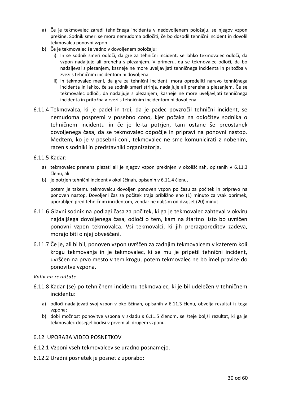- a) Če je tekmovalec zaradi tehničnega incidenta v nedovoljenem položaju, se njegov vzpon prekine. Sodnik smeri se mora nemudoma odločiti, če bo dosodil tehnični incident in dovolil tekmovalcu ponovni vzpon.
- b) Če je tekmovalec še vedno v dovoljenem položaju:
	- i) In se sodnik smeri odloči, da gre za tehnični incident, se lahko tekmovalec odloči, da vzpon nadaljuje ali preneha s plezanjem. V primeru, da se tekmovalec odloči, da bo nadaljeval s plezanjem, kasneje ne more uveljavljati tehničnega incidenta in pritožba v zvezi s tehničnim incidentom ni dovoljena.
	- ii) In tekmovalec meni, da gre za tehnični incident, mora opredeliti naravo tehničnega incidenta in lahko, če se sodnik smeri strinja, nadaljuje ali preneha s plezanjem. Če se tekmovalec odloči, da nadaljuje s plezanjem, kasneje ne more uveljavljati tehničnega incidenta in pritožba v zvezi s tehničnim incidentom ni dovoljena.
- 6.11.4 Tekmovalca, ki je padel in trdi, da je padec povzročil tehnični incident, se nemudoma pospremi v posebno cono, kjer počaka na odločitev sodnika o tehničnem incidentu in če je le-ta potrjen, tam ostane še preostanek dovoljenega časa, da se tekmovalec odpočije in pripravi na ponovni nastop. Medtem, ko je v posebni coni, tekmovalec ne sme komunicirati z nobenim, razen s sodniki in predstavniki organizatorja.

<span id="page-29-1"></span>6.11.5 Kadar:

- a) tekmovalec preneha plezati ali je njegov vzpon prekinjen v okoliščinah, opisanih v 6.11.3 členu, ali
- b) je potrjen tehnični incident v okoliščinah, opisanih v 6.11.4 členu,

potem je takemu tekmovalcu dovoljen ponoven vzpon po času za počitek in pripravo na ponoven nastop. Dovoljeni čas za počitek traja približno eno (1) minuto za vsak oprimek, uporabljen pred tehničnim incidentom, vendar ne daljšim od dvajset (20) minut.

- 6.11.6 Glavni sodnik na podlagi časa za počitek, ki ga je tekmovalec zahteval v okviru najdaljšega dovoljenega časa, odloči o tem, kam na štartno listo bo uvrščen ponovni vzpon tekmovalca. Vsi tekmovalci, ki jih prerazporeditev zadeva, morajo biti o njej obveščeni.
- 6.11.7 Če je, ali bi bil, ponoven vzpon uvrščen za zadnjim tekmovalcem v katerem koli krogu tekmovanja in je tekmovalec, ki se mu je pripetil tehnični incident, uvrščen na prvo mesto v tem krogu, potem tekmovalec ne bo imel pravice do ponovitve vzpona.

*Vpliv na rezultate*

- 6.11.8 Kadar (se) po tehničnem incidentu tekmovalec, ki je bil udeležen v tehničnem incidentu:
	- a) odloči nadaljevati svoj vzpon v okoliščinah, opisanih v 6.11.3 členu, obvelja rezultat iz tega vzpona;
	- b) dobi možnost ponovitve vzpona v skladu s [6.11.5](#page-29-1) členom, se šteje boljši rezultat, ki ga je tekmovalec dosegel bodisi v prvem ali drugem vzponu.

# <span id="page-29-0"></span>6.12 UPORABA VIDEO POSNETKOV

- 6.12.1 Vzponi vseh tekmovalcev se uradno posnamejo.
- 6.12.2 Uradni posnetek je posnet z uporabo: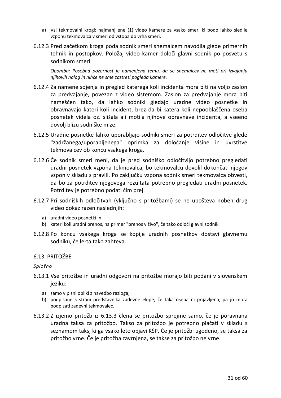- a) Vsi tekmovalni krogi: najmanj ene (1) video kamere za vsako smer, ki bodo lahko sledile vzponu tekmovalca v smeri od vstopa do vrha smeri.
- 6.12.3 Pred začetkom kroga poda sodnik smeri snemalcem navodila glede primernih tehnik in postopkov. Položaj video kamer določi glavni sodnik po posvetu s sodnikom smeri.

*Opomba: Posebna pozornost je namenjena temu, da se snemalcev ne moti pri izvajanju njihovih nalog in nihče ne sme zastreti pogleda kamere.*

- 6.12.4 Za namene sojenja in pregled katerega koli incidenta mora biti na voljo zaslon za predvajanje, povezan z video sistemom. Zaslon za predvajanje mora biti nameščen tako, da lahko sodniki gledajo uradne video posnetke in obravnavajo kateri koli incident, brez da bi katera koli nepooblaščena oseba posnetek videla oz. slišala ali motila njihove obravnave incidenta, a vseeno dovolj blizu sodniške mize.
- 6.12.5 Uradne posnetke lahko uporabljajo sodniki smeri za potrditev odločitve glede "zadržanega/uporabljenega" oprimka za določanje višine in uvrstitve tekmovalcev ob koncu vsakega kroga.
- 6.12.6 Če sodnik smeri meni, da je pred sodniško odločitvijo potrebno pregledati uradni posnetek vzpona tekmovalca, bo tekmovalcu dovolil dokončati njegov vzpon v skladu s pravili. Po zaključku vzpona sodnik smeri tekmovalca obvesti, da bo za potrditev njegovega rezultata potrebno pregledati uradni posnetek. Potrditev je potrebno podati čim prej.
- 6.12.7 Pri sodniških odločitvah (vključno s pritožbami) se ne upošteva noben drug video dokaz razen naslednjih:
	- a) uradni video posnetki in
	- b) kateri koli uradni prenos, na primer "prenos v živo", če tako odloči glavni sodnik.
- 6.12.8 Po koncu vsakega kroga se kopije uradnih posnetkov dostavi glavnemu sodniku, če le-ta tako zahteva.

# <span id="page-30-0"></span>6.13 PRITOŽBE

#### *Splošno*

- 6.13.1 Vse pritožbe in uradni odgovori na pritožbe morajo biti podani v slovenskem jeziku:
	- a) samo v pisni obliki z navedbo razloga;
	- b) podpisane s strani predstavnika zadevne ekipe; če taka oseba ni prijavljena, pa jo mora podpisati zadevni tekmovalec.
- 6.13.2 Z izjemo pritožb iz [6.13.3](#page-31-0) člena se pritožbo sprejme samo, če je poravnana uradna taksa za pritožbo. Takso za pritožbo je potrebno plačati v skladu s seznamom taks, ki ga vsako leto objavi KŠP. Če je pritožbi ugodeno, se taksa za pritožbo vrne. Če je pritožba zavrnjena, se takse za pritožbo ne vrne.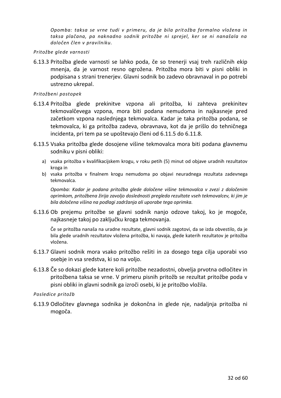*Opomba: taksa se vrne tudi v primeru, da je bila prit ožba formalno vložena in taksa plačana, pa naknadno sodnik pritožbe ni sprejel, ker se ni nanašala na določen člen v pravilniku.* 

#### *Pritožbe glede varnosti*

<span id="page-31-0"></span>6.13.3 Pritožba glede varnosti se lahko poda, če so trenerji vsaj treh različnih ekip mnenja, da je varnost resno ogrožena. Pritožba mora biti v pisni obliki in podpisana s strani trenerjev. Glavni sodnik bo zadevo obravnaval in po potrebi ustrezno ukrepal.

#### *Pritožbeni postopek*

- 6.13.4 Pritožba glede prekinitve vzpona ali pritožba, ki zahteva prekinitev tekmovalčevega vzpona, mora biti podana nemudoma in najkasneje pred začetkom vzpona naslednjega tekmovalca. Kadar je taka pritožba podana, se tekmovalca, ki ga pritožba zadeva, obravnava, kot da je prišlo do tehničnega incidenta, pri tem pa se upoštevajo členi od 6.11.5 do 6.11.8.
- 6.13.5 Vsaka pritožba glede dosojene višine tekmovalca mora biti podana glavnemu sodniku v pisni obliki:
	- a) vsaka pritožba v kvalifikacijskem krogu, v roku petih (5) minut od objave uradnih rezultatov kroga in
	- b) vsaka pritožba v finalnem krogu nemudoma po objavi neuradnega rezultata zadevnega tekmovalca.

*Opomba: Kadar je podana pritožba glede določene višine tekmovalca v zvezi z določenim oprimkom, pritožbena žirija zavoljo doslednosti pregleda rezultate vseh tekmovalcev, ki jim je bila določena višina na podlagi zadržanja ali uporabe tega oprimka.*

6.13.6 Ob prejemu pritožbe se glavni sodnik nanjo odzove takoj, ko je mogoče, najkasneje takoj po zaključku kroga tekmovanja.

Če se pritožba nanaša na uradne rezultate, glavni sodnik zagotovi, da se izda obvestilo, da je bila glede uradnih rezultatov vložena pritožba, ki navaja, glede katerih rezultatov je pritožba vložena.

- 6.13.7 Glavni sodnik mora vsako pritožbo rešiti in za dosego tega cilja uporabi vso osebje in vsa sredstva, ki so na voljo.
- 6.13.8 Če so dokazi glede katere koli pritožbe nezadostni, obvelja prvotna odločitev in pritožbena taksa se vrne. V primeru pisnih pritožb se rezultat pritožbe poda v pisni obliki in glavni sodnik ga izroči osebi, ki je pritožbo vložila.

#### *Posledice pritožb*

6.13.9 Odločitev glavnega sodnika je dokončna in glede nje, nadaljnja pritožba ni mogoča.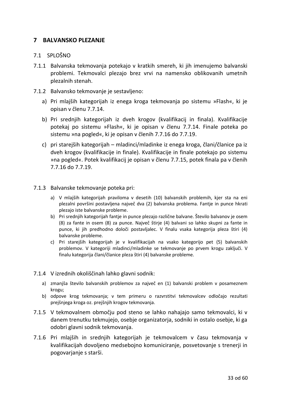# <span id="page-32-0"></span>**7 BALVANSKO PLEZANJE**

# <span id="page-32-1"></span>7.1 SPLOŠNO

- 7.1.1 Balvanska tekmovanja potekajo v kratkih smereh, ki jih imenujemo balvanski problemi. Tekmovalci plezajo brez vrvi na namensko oblikovanih umetnih plezalnih stenah.
- 7.1.2 Balvansko tekmovanje je sestavljeno:
	- a) Pri mlajših kategorijah iz enega kroga tekmovanja po sistemu »Flash«, ki je opisan v členu 7.7.14.
	- b) Pri srednjih kategorijah iz dveh krogov (kvalifikacij in finala). Kvalifikacije potekaj po sistemu »Flash«, ki je opisan v členu 7.7.14. Finale poteka po sistemu »na pogled«, ki je opisan v členih 7.7.16 do 7.7.19.
	- c) pri starejših kategorijah mladinci/mladinke iz enega kroga, člani/članice pa iz dveh krogov (kvalifikacije in finale). Kvalifikacije in finale potekajo po sistemu »na pogled«. Potek kvalifikacij je opisan v členu 7.7.15, potek finala pa v členih 7.7.16 do 7.7.19.

# 7.1.3 Balvanske tekmovanje poteka pri:

- a) V mlajših kategorijah praviloma v desetih (10) balvanskih problemih, kjer sta na eni plezalni površini postavljena največ dva (2) balvanska problema. Fantje in punce hkrati plezajo iste balvanske probleme.
- b) Pri srednjih kategorijah fantje in punce plezajo različne balvane. Število balvanov je osem (8) za fante in osem (8) za punce. Največ štirje (4) balvani so lahko skupni za fante in punce, ki jih predhodno določi postavljalec. V finalu vsaka kategorija pleza štiri (4) balvanske probleme.
- c) Pri starejših kategorijah je v kvalifikacijah na vsako kategorijo pet (5) balvanskih problemov. V kategoriji mladinci/mladinke se tekmovanje po prvem krogu zaključi. V finalu kategorija člani/članice pleza štiri (4) balvanske probleme.
- 7.1.4 V izrednih okoliščinah lahko glavni sodnik:
	- a) zmanjša število balvanskih problemov za največ en (1) balvanski problem v posameznem krogu;
	- b) odpove krog tekmovanja; v tem primeru o razvrstitvi tekmovalcev odločajo rezultati prejšnjega kroga oz. prejšnjih krogov tekmovanja.
- 7.1.5 V tekmovalnem območju pod steno se lahko nahajajo samo tekmovalci, ki v danem trenutku tekmujejo, osebje organizatorja, sodniki in ostalo osebje, ki ga odobri glavni sodnik tekmovanja.
- 7.1.6 Pri mlajših in srednjih kategorijah je tekmovalcem v času tekmovanja v kvalifikacijah dovoljeno medsebojno komuniciranje, posvetovanje s trenerji in pogovarjanje s starši.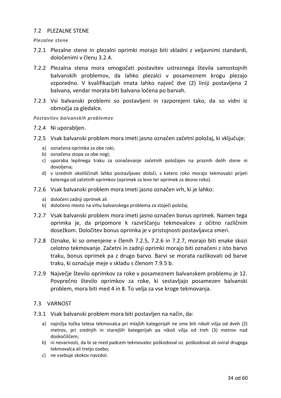# <span id="page-33-0"></span>7.2 PLEZALNE STENE

#### *Plezalne stene*

- 7.2.1 Plezalne stene in plezalni oprimki morajo biti skladni z veljavnimi standardi, določenimi v členu 3.2.4.
- 7.2.2 Plezalna stena mora omogočati postavitev ustreznega števila samostojnih balvanskih problemov, da lahko plezalci v posameznem krogu plezajo vzporedno. V kvalifikacijah imata lahko največ dve (2) liniji postavljena 2 balvana, vendar morata biti balvana ločena po barvah.
- 7.2.3 Vsi balvanski problemi so postavljeni in razporejeni tako, da so vidni iz območja za gledalce.

#### *Postavitev balvanskih problemov*

- 7.2.4 Ni uporabljen.
- 7.2.5 Vsak balvanski problem mora imeti jasno označen začetni položaj, ki vključuje:
	- a) označena oprimka za obe roki;
	- b) označena stopa za obe nogi;
	- c) uporaba lepilnega traku za označevanje začetnih položajev na praznih delih stene ni dovoljena;
	- d) v izrednih okoliščinah lahko postavljavec določi, s katero roko morajo tekmovalci prijeti katerega od začetnih oprimkov (oprimek za levo ter oprimek za desno roko).
- 7.2.6 Vsak balvanski problem mora imeti jasno označen vrh, ki je lahko:
	- a) določeni zadnji oprimek ali
	- b) določeno mesto na vrhu balvanskega problema za stoječi položaj.
- 7.2.7 Vsak balvanski problem mora imeti jasno označen bonus oprimek. Namen tega oprimka je, da pripomore k razvrščanju tekmovalcev z očitno različnim dosežkom. Določitev bonus oprimka je v pristojnosti postavljavca smeri.
- 7.2.8 Oznake, ki so omenjene v členih 7.2.5, 7.2.6 in 7.2.7, morajo biti enake skozi celotno tekmovanje. Začetni in zadnji oprimki morajo biti označeni z isto barvo traku, bonus oprimek pa z drugo barvo. Barvi se morata razlikovati od barve traku, ki označuje meje v skladu s členom 7.9.5 b.
- 7.2.9 Največje število oprimkov za roke v posameznem balvanskem problemu je 12. Povprečno število oprimkov za roke, ki sestavljajo posamezen balvanski problem, mora biti med 4 in 8. To velja za vse kroge tekmovanja.

# <span id="page-33-1"></span>7.3 VARNOST

- 7.3.1 Vsak balvanski problem mora biti postavljen na način, da:
	- a) najnižja točka telesa tekmovalca pri mlajših kategorijah ne sme biti nikoli višja od dveh (2) metrov, pri srednjih in starejših kategorijah pa nikoli višja od treh (3) metrov nad doskočiščem;
	- b) ni nevarnosti, da bi se med padcem tekmovalec poškodoval oz. poškodoval ali oviral drugega tekmovalca ali tretjo osebo;
	- c) ne vsebuje skokov navzdol.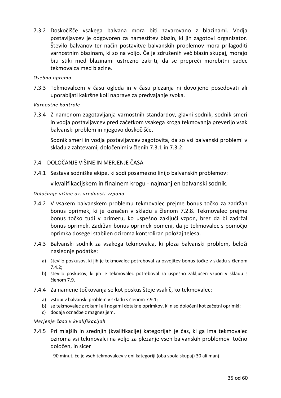7.3.2 Doskočišče vsakega balvana mora biti zavarovano z blazinami. Vodja postavljavcev je odgovoren za namestitev blazin, ki jih zagotovi organizator. Število balvanov ter način postavitve balvanskih problemov mora prilagoditi varnostnim blazinam, ki so na voljo. Če je združenih več blazin skupaj, morajo biti stiki med blazinami ustrezno zakriti, da se prepreči morebitni padec tekmovalca med blazine.

# *Osebna oprema*

7.3.3 Tekmovalcem v času ogleda in v času plezanja ni dovoljeno posedovati ali uporabljati kakršne koli naprave za predvajanje zvoka.

# *Varnostne kontrole*

7.3.4 Z namenom zagotavljanja varnostnih standardov, glavni sodnik, sodnik smeri in vodja postavljavcev pred začetkom vsakega kroga tekmovanja preverijo vsak balvanski problem in njegovo doskočišče.

Sodnik smeri in vodja postavljavcev zagotovita, da so vsi balvanski problemi v skladu z zahtevami, določenimi v členih 7.3.1 in 7.3.2.

# <span id="page-34-0"></span>7.4 DOLOČANJE VIŠINE IN MERJENJE ČASA

7.4.1 Sestava sodniške ekipe, ki sodi posamezno linijo balvanskih problemov:

v kvalifikacijskem in finalnem krogu - najmanj en balvanski sodnik.

# *Določanje višine oz. vrednosti vzpona*

- 7.4.2 V vsakem balvanskem problemu tekmovalec prejme bonus točko za zadržan bonus oprimek, ki je označen v skladu s členom 7.2.8. Tekmovalec prejme bonus točko tudi v primeru, ko uspešno zaključi vzpon, brez da bi zadržal bonus oprimek. Zadržan bonus oprimek pomeni, da je tekmovalec s pomočjo oprimka dosegel stabilen oziroma kontroliran položaj telesa.
- 7.4.3 Balvanski sodnik za vsakega tekmovalca, ki pleza balvanski problem, beleži naslednje podatke:
	- a) število poskusov, ki jih je tekmovalec potreboval za osvojitev bonus točke v skladu s členom 7.4.2;
	- b) število poskusov, ki jih je tekmovalec potreboval za uspešno zaključen vzpon v skladu s členom 7.9.
- 7.4.4 Za namene točkovanja se kot poskus šteje vsakič, ko tekmovalec:
	- a) vstopi v balvanski problem v skladu s členom 7.9.1;
	- b) se tekmovalec z rokami ali nogami dotakne oprimkov, ki niso določeni kot začetni oprimki;
	- c) dodaja označbe z magnezijem.

#### *Merjenje časa v kvalifikacijah*

- 7.4.5 Pri mlajših in srednjih (kvalifikacije) kategorijah je čas, ki ga ima tekmovalec oziroma vsi tekmovalci na voljo za plezanje vseh balvanskih problemov točno določen, in sicer
	- 90 minut, če je vseh tekmovalcev v eni kategoriji (oba spola skupaj) 30 ali manj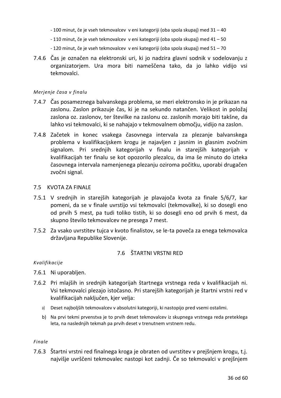- 100 minut, če je vseh tekmovalcev v eni kategoriji (oba spola skupaj) med 31 40
- 110 minut, če je vseh tekmovalcev v eni kategoriji (oba spola skupaj) med 41 50
- 120 minut, če je vseh tekmovalcev v eni kategoriji (oba spola skupaj) med 51 70
- 7.4.6 Čas je označen na elektronski uri, ki jo nadzira glavni sodnik v sodelovanju z organizatorjem. Ura mora biti nameščena tako, da jo lahko vidijo vsi tekmovalci.

#### *Merjenje časa v finalu*

- 7.4.7 Čas posameznega balvanskega problema, se meri elektronsko in je prikazan na zaslonu. Zaslon prikazuje čas, ki je na sekundo natančen. Velikost in položaj zaslona oz. zaslonov, ter številke na zaslonu oz. zaslonih morajo biti takšne, da lahko vsi tekmovalci, ki se nahajajo v tekmovalnem območju, vidijo na zaslon.
- 7.4.8 Začetek in konec vsakega časovnega intervala za plezanje balvanskega problema v kvalifikacijskem krogu je najavljen z jasnim in glasnim zvočnim signalom. Pri srednjih kategorijah v finalu in starejših kategorijah v kvalifikacijah ter finalu se kot opozorilo plezalcu, da ima še minuto do izteka časovnega intervala namenjenega plezanju oziroma počitku, uporabi drugačen zvočni signal.

# <span id="page-35-0"></span>7.5 KVOTA ZA FINALE

- 7.5.1 V srednjih in starejših kategorijah je plavajoča kvota za finale 5/6/7, kar pomeni, da se v finale uvrstijo vsi tekmovalci (tekmovalke), ki so dosegli eno od prvih 5 mest, pa tudi toliko tistih, ki so dosegli eno od prvih 6 mest, da skupno število tekmovalcev ne presega 7 mest.
- 7.5.2 Za vsako uvrstitev tujca v kvoto finalistov, se le-ta poveča za enega tekmovalca državljana Republike Slovenije.

# 7.6 ŠTARTNI VRSTNI RED

# <span id="page-35-1"></span>*Kvalifikacije*

- 7.6.1 Ni uporabljen.
- 7.6.2 Pri mlajših in srednjih kategorijah štartnega vrstnega reda v kvalifikacijah ni. Vsi tekmovalci plezajo istočasno. Pri starejših kategorijah je štartni vrstni red v kvalifikacijah naključen, kjer velja:
	- a) Deset najboljših tekmovalcev v absolutni kategoriji, ki nastopijo pred vsemi ostalimi.
	- b) Na prvi tekmi prvenstva je to prvih deset tekmovalcev iz skupnega vrstnega reda preteklega leta, na naslednjih tekmah pa prvih deset v trenutnem vrstnem redu.

#### *Finale*

7.6.3 Štartni vrstni red finalnega kroga je obraten od uvrstitev v prejšnjem krogu, t.j. najvišje uvrščeni tekmovalec nastopi kot zadnji. Če so tekmovalci v prejšnjem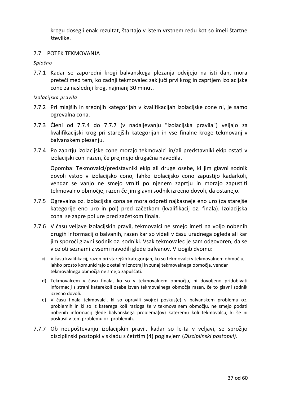krogu dosegli enak rezultat, štartajo v istem vrstnem redu kot so imeli štartne številke.

# <span id="page-36-0"></span>7.7 POTEK TEKMOVANJA

*Splošno* 

7.7.1 Kadar se zaporedni krogi balvanskega plezanja odvijejo na isti dan, mora preteči med tem, ko zadnji tekmovalec zaključi prvi krog in zaprtjem izolacijske cone za naslednji krog, najmanj 30 minut.

#### *Izolacijska pravila*

- 7.7.2 Pri mlajših in srednjih kategorijah v kvalifikacijah izolacijske cone ni, je samo ogrevalna cona.
- 7.7.3 Členi od 7.7.4 do 7.7.7 (v nadaljevanju "izolacijska pravila") veljajo za kvalifikacijski krog pri starejših kategorijah in vse finalne kroge tekmovanj v balvanskem plezanju.
- 7.7.4 Po zaprtju izolacijske cone morajo tekmovalci in/ali predstavniki ekip ostati v izolacijski coni razen, če prejmejo drugačna navodila.

Opomba: Tekmovalci/predstavniki ekip ali druge osebe, ki jim glavni sodnik dovoli vstop v izolacijsko cono, lahko izolacijsko cono zapustijo kadarkoli, vendar se vanjo ne smejo vrniti po njenem zaprtju in morajo zapustiti tekmovalno območje, razen če jim glavni sodnik izrecno dovoli, da ostanejo.

- 7.7.5 Ogrevalna oz. izolacijska cona se mora odpreti najkasneje eno uro (za starejše kategorije eno uro in pol) pred začetkom (kvalifikacij oz. finala). Izolacijska cona se zapre pol ure pred začetkom finala.
- 7.7.6 V času veljave izolacijskih pravil, tekmovalci ne smejo imeti na voljo nobenih drugih informacij o balvanih, razen kar so videli v času uradnega ogleda ali kar jim sporoči glavni sodnik oz. sodniki. Vsak tekmovalec je sam odgovoren, da se v celoti seznami z vsemi navodili glede balvanov. V izogib dvomu:
	- c) V času kvalifikacij, razen pri starejših kategorijah, ko so tekmovalci v tekmovalnem območju, lahko prosto komunicirajo z ostalimi znotraj in zunaj tekmovalnega območja, vendar tekmovalnega območja ne smejo zapuščati.
	- d) Tekmovalcem v času finala, ko so v tekmovalnem območju, ni dovoljeno pridobivati informacij s strani katerekoli osebe izven tekmovalnega območja razen, če to glavni sodnik izrecno dovoli.
	- e) V času finala tekmovalci, ki so opravili svoj(e) poskus(e) v balvanskem problemu oz. problemih in ki so iz katerega koli razloga še v tekmovalnem območju, ne smejo podati nobenih informacij glede balvanskega problema(ov) kateremu koli tekmovalcu, ki še ni poskusil v tem problemu oz. problemih.
- 7.7.7 Ob neupoštevanju izolacijskih pravil, kadar so le-ta v veljavi, se sprožijo disciplinski postopki v skladu s četrtim (4) poglavjem (*Disciplinski postopki).*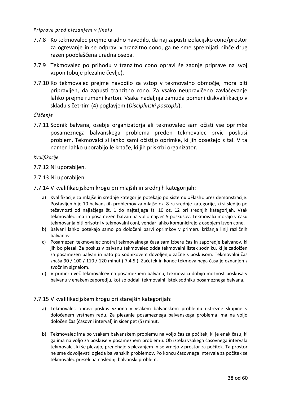#### *Priprave pred plezanjem v finalu*

- 7.7.8 Ko tekmovalec prejme uradno navodilo, da naj zapusti izolacijsko cono/prostor za ogrevanje in se odpravi v tranzitno cono, ga ne sme spremljati nihče drug razen pooblaščena uradna oseba.
- 7.7.9 Tekmovalec po prihodu v tranzitno cono opravi še zadnje priprave na svoj vzpon (obuje plezalne čevlje).
- 7.7.10 Ko tekmovalec prejme navodilo za vstop v tekmovalno območje, mora biti pripravljen, da zapusti tranzitno cono. Za vsako neupravičeno zavlačevanje lahko prejme rumeni karton. Vsaka nadaljnja zamuda pomeni diskvalifikacijo v skladu s četrtim (4) poglavjem (*Disciplinski postopki*).

#### *Čiščenje*

7.7.11 Sodnik balvana, osebje organizatorja ali tekmovalec sam očisti vse oprimke posameznega balvanskega problema preden tekmovalec prvič poskusi problem. Tekmovalci si lahko sami očistijo oprimke, ki jih dosežejo s tal. V ta namen lahko uporabijo le krtače, ki jih priskrbi organizator.

#### *Kvalifikacije*

7.7.12 Ni uporabljen.

# 7.7.13 Ni uporabljen.

- 7.7.14 V kvalifikacijskem krogu pri mlajših in srednjih kategorijah:
	- a) Kvalifikacije za mlajše in srednje kategorije potekajo po sistemu »Flash« brez demonstracije. Postavljenih je 10 balvanskih problemov za mlajše oz. 8 za srednje kategorije, ki si sledijo po težavnosti od najlažjega št. 1 do najtežjega št. 10 oz. 12 pri srednjih kategorijah. Vsak tekmovalec ima za posamezen balvan na voljo največ 5 poskusov. Tekmovalci morajo v času tekmovanja biti prisotni v tekmovalni coni, vendar lahko komunicirajo z osebjem izven cone.
	- b) Balvani lahko potekajo samo po določeni barvi oprimkov v primeru križanja linij različnih balvanov.
	- c) Posamezen tekmovalec znotraj tekmovalnega časa sam izbere čas in zaporedje balvanov, ki jih bo plezal. Za poskus v balvanu tekmovalec odda tekmovalni listek sodniku, ki je zadolžen za posamezen balvan in nato po sodnikovem dovoljenju začne s poskusom. Tekmovalni čas znaša 90 / 100 / 110 / 120 minut ( 7.4.5.). Začetek in konec tekmovalnega časa je oznanjen z zvočnim signalom.
	- d) V primeru več tekmovalcev na posameznem balvanu, tekmovalci dobijo možnost poskusa v balvanu v enakem zaporedju, kot so oddali tekmovalni listek sodniku posameznega balvana.

# 7.7.15 V kvalifikacijskem krogu pri starejših kategorijah:

- a) Tekmovalec opravi poskus vzpona v vsakem balvanskem problemu ustrezne skupine v določenem vrstnem redu. Za plezanje posameznega balvanskega problema ima na voljo določen čas (časovni interval) in sicer pet (5) minut.
- b) Tekmovalec ima po vsakem balvanskem problemu na voljo čas za počitek, ki je enak času, ki ga ima na voljo za poskuse v posameznem problemu. Ob izteku vsakega časovnega intervala tekmovalci, ki še plezajo, prenehajo s plezanjem in se vrnejo v prostor za počitek. Ta prostor ne sme dovoljevati ogleda balvanskih problemov. Po koncu časovnega intervala za počitek se tekmovalec preseli na naslednji balvanski problem.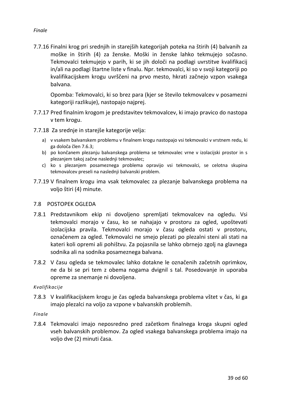# *Finale*

7.7.16 Finalni krog pri srednjih in starejših kategorijah poteka na štirih (4) balvanih za moške in štirih (4) za ženske. Moški in ženske lahko tekmujejo sočasno. Tekmovalci tekmujejo v parih, ki se jih določi na podlagi uvrstitve kvalifikacij in/ali na podlagi štartne liste v finalu. Npr. tekmovalci, ki so v svoji kategoriji po kvalifikacijskem krogu uvrščeni na prvo mesto, hkrati začnejo vzpon vsakega balvana.

Opomba: Tekmovalci, ki so brez para (kjer se število tekmovalcev v posamezni kategoriji razlikuje), nastopajo najprej.

- 7.7.17 Pred finalnim krogom je predstavitev tekmovalcev, ki imajo pravico do nastopa v tem krogu.
- 7.7.18 Za srednje in starejše kategorije velja:
	- a) v vsakem balvanskem problemu v finalnem krogu nastopajo vsi tekmovalci v vrstnem redu, ki ga določa člen 7.6.3;
	- b) po končanem plezanju balvanskega problema se tekmovalec vrne v izolacijski prostor in s plezanjem takoj začne naslednji tekmovalec;
	- c) ko s plezanjem posameznega problema opravijo vsi tekmovalci, se celotna skupina tekmovalcev preseli na naslednji balvanski problem.
- 7.7.19 V finalnem krogu ima vsak tekmovalec za plezanje balvanskega problema na voljo štiri (4) minute.

# <span id="page-38-0"></span>7.8 POSTOPEK OGLEDA

- 7.8.1 Predstavnikom ekip ni dovoljeno spremljati tekmovalcev na ogledu. Vsi tekmovalci morajo v času, ko se nahajajo v prostoru za ogled, upoštevati izolacijska pravila. Tekmovalci morajo v času ogleda ostati v prostoru, označenem za ogled. Tekmovalci ne smejo plezati po plezalni steni ali stati na kateri koli opremi ali pohištvu. Za pojasnila se lahko obrnejo zgolj na glavnega sodnika ali na sodnika posameznega balvana.
- 7.8.2 V času ogleda se tekmovalec lahko dotakne le označenih začetnih oprimkov, ne da bi se pri tem z obema nogama dvignil s tal. Posedovanje in uporaba opreme za snemanje ni dovoljena.

# *Kvalifikacije*

7.8.3 V kvalifikacijskem krogu je čas ogleda balvanskega problema vštet v čas, ki ga imajo plezalci na voljo za vzpone v balvanskih problemih.

# *Finale*

7.8.4 Tekmovalci imajo neposredno pred začetkom finalnega kroga skupni ogled vseh balvanskih problemov. Za ogled vsakega balvanskega problema imajo na voljo dve (2) minuti časa.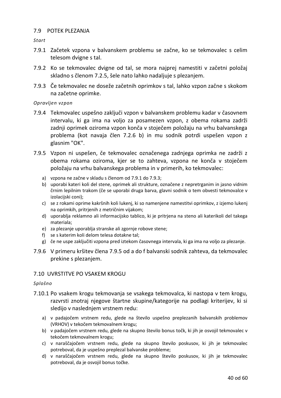# <span id="page-39-0"></span>7.9 POTEK PLEZANJA

*Start*

- 7.9.1 Začetek vzpona v balvanskem problemu se začne, ko se tekmovalec s celim telesom dvigne s tal.
- 7.9.2 Ko se tekmovalec dvigne od tal, se mora najprej namestiti v začetni položaj skladno s členom 7.2.5, šele nato lahko nadaljuje s plezanjem.
- 7.9.3 Če tekmovalec ne doseže začetnih oprimkov s tal, lahko vzpon začne s skokom na začetne oprimke.

# *Opravljen vzpon*

- 7.9.4 Tekmovalec uspešno zaključi vzpon v balvanskem problemu kadar v časovnem intervalu, ki ga ima na voljo za posamezen vzpon, z obema rokama zadrži zadnji oprimek oziroma vzpon konča v stoječem položaju na vrhu balvanskega problema (kot navaja člen 7.2.6 b) in mu sodnik potrdi uspešen vzpon z glasnim "OK".
- 7.9.5 Vzpon ni uspešen, če tekmovalec označenega zadnjega oprimka ne zadrži z obema rokama oziroma, kjer se to zahteva, vzpona ne konča v stoječem položaju na vrhu balvanskega problema in v primerih, ko tekmovalec:
	- a) vzpona ne začne v skladu s členom od 7.9.1 do 7.9.3;
	- b) uporabi kateri koli del stene, oprimek ali strukture, označene z nepretrganim in jasno vidnim črnim lepilnim trakom (če se uporabi druga barva, glavni sodnik o tem obvesti tekmovalce v izolacijski coni);
	- c) se z rokami oprime kakršnih koli lukenj, ki so namenjene namestitvi oprimkov, z izjemo lukenj na oprimkih, pritrjenih z metričnim vijakom;
	- d) uporablja reklamno ali informacijsko tablico, ki je pritrjena na steno ali katerikoli del takega materiala;
	- e) za plezanje uporablja stranske ali zgornje robove stene;
	- f) se s katerim koli delom telesa dotakne tal;
	- g) če ne uspe zaključiti vzpona pred iztekom časovnega intervala, ki ga ima na voljo za plezanje.
- 7.9.6 V primeru kršitev člena 7.9.5 od a do f balvanski sodnik zahteva, da tekmovalec prekine s plezanjem.

# <span id="page-39-1"></span>7.10 UVRSTITVE PO VSAKEM KROGU

#### *Splošno*

- 7.10.1 Po vsakem krogu tekmovanja se vsakega tekmovalca, ki nastopa v tem krogu, razvrsti znotraj njegove štartne skupine/kategorije na podlagi kriterijev, ki si sledijo v naslednjem vrstnem redu:
	- a) v padajočem vrstnem redu, glede na število uspešno preplezanih balvanskih problemov (VRHOV) v tekočem tekmovalnem krogu;
	- b) v padajočem vrstnem redu, glede na skupno število bonus točk, ki jih je osvojil tekmovalec v tekočem tekmovalnem krogu;
	- c) v naraščajočem vrstnem redu, glede na skupno število poskusov, ki jih je tekmovalec potreboval, da je uspešno preplezal balvanske probleme;
	- d) v naraščajočem vrstnem redu, glede na skupno število poskusov, ki jih je tekmovalec potreboval, da je osvojil bonus točke.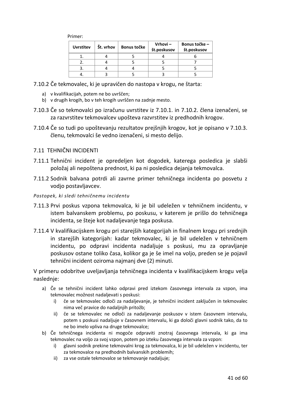| <b>Uvrstitev</b> | Št. vrhov | Bonus točke | $Vrhovi -$<br>št.poskusov | Bonus točke –<br>št.poskusov |
|------------------|-----------|-------------|---------------------------|------------------------------|
|                  |           |             |                           |                              |
|                  |           |             |                           |                              |
|                  |           |             |                           |                              |
|                  |           |             |                           |                              |

- 7.10.2 Če tekmovalec, ki je upravičen do nastopa v krogu, ne štarta:
	- a) v kvalifikacijah, potem ne bo uvrščen;
	- b) v drugih krogih, bo v teh krogih uvrščen na zadnje mesto.
- 7.10.3 Če so tekmovalci po izračunu uvrstitev iz 7.10.1. in 7.10.2. člena izenačeni, se za razvrstitev tekmovalcev upošteva razvrstitev iz predhodnih krogov.
- 7.10.4 Če so tudi po upoštevanju rezultatov prejšnjih krogov, kot je opisano v 7.10.3. členu, tekmovalci še vedno izenačeni, si mesto delijo.

#### <span id="page-40-0"></span>7.11 TEHNIČNI INCIDENTI

- 7.11.1 Tehnični incident je opredeljen kot dogodek, katerega posledica je slabši položaj ali nepoštena prednost, ki pa ni posledica dejanja tekmovalca.
- 7.11.2 Sodnik balvana potrdi ali zavrne primer tehničnega incidenta po posvetu z vodjo postavljavcev.

#### *Postopek, ki sledi tehničnemu incidentu*

- 7.11.3 Prvi poskus vzpona tekmovalca, ki je bil udeležen v tehničnem incidentu, v istem balvanskem problemu, po poskusu, v katerem je prišlo do tehničnega incidenta, se šteje kot nadaljevanje tega poskusa.
- 7.11.4 V kvalifikacijskem krogu pri starejših kategorijah in finalnem krogu pri srednjih in starejših kategorijah: kadar tekmovalec, ki je bil udeležen v tehničnem incidentu, po odpravi incidenta nadaljuje s poskusi, mu za opravljanje poskusov ostane toliko časa, kolikor ga je še imel na voljo, preden se je pojavil tehnični incident oziroma najmanj dve (2) minuti.

V primeru odobritve uveljavljanja tehničnega incidenta v kvalifikacijskem krogu velja naslednje:

- a) Če se tehnični incident lahko odpravi pred iztekom časovnega intervala za vzpon, ima tekmovalec možnost nadaljevati s poskusi:
	- i) če se tekmovalec odloči za nadaljevanje, je tehnični incident zaključen in tekmovalec nima več pravice do nadaljnjih pritožb;
	- ii) če se tekmovalec ne odloči za nadaljevanje poskusov v istem časovnem intervalu, potem s poskusi nadaljuje v časovnem intervalu, ki ga določi glavni sodnik tako, da to ne bo imelo vpliva na druge tekmovalce;
- b) Če tehničnega incidenta ni mogoče odpraviti znotraj časovnega intervala, ki ga ima tekmovalec na voljo za svoj vzpon, potem po izteku časovnega intervala za vzpon:
	- i) glavni sodnik prekine tekmovalni krog za tekmovalca, ki je bil udeležen v incidentu, ter za tekmovalce na predhodnih balvanskih problemih;
	- ii) za vse ostale tekmovalce se tekmovanje nadaljuje;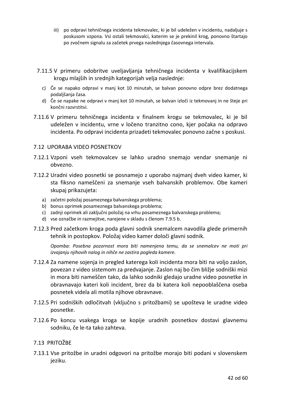- iii) po odpravi tehničnega incidenta tekmovalec, ki je bil udeležen v incidentu, nadaljuje s poskusom vzpona. Vsi ostali tekmovalci, katerim se je prekinil krog, ponovno štartajo po zvočnem signalu za začetek prvega naslednjega časovnega intervala.
- 7.11.5 V primeru odobritve uveljavljanja tehničnega incidenta v kvalifikacijskem krogu mlajših in srednjih kategorijah velja naslednje:
	- c) Če se napako odpravi v manj kot 10 minutah, se balvan ponovno odpre brez dodatnega podaljšanja časa.
	- d) Če se napake ne odpravi v manj kot 10 minutah, se balvan izloči iz tekmovanj in ne šteje pri končni razvrstitvi.
- 7.11.6 V primeru tehničnega incidenta v finalnem krogu se tekmovalec, ki je bil udeležen v incidentu, vrne v ločeno tranzitno cono, kjer počaka na odpravo incidenta. Po odpravi incidenta prizadeti tekmovalec ponovno začne s poskusi.

#### <span id="page-41-0"></span>7.12 UPORABA VIDEO POSNETKOV

- 7.12.1 Vzponi vseh tekmovalcev se lahko uradno snemajo vendar snemanje ni obvezno.
- 7.12.2 Uradni video posnetki se posnamejo z uporabo najmanj dveh video kamer, ki sta fiksno nameščeni za snemanje vseh balvanskih problemov. Obe kameri skupaj prikazujeta:
	- a) začetni položaj posameznega balvanskega problema;
	- b) bonus oprimek posameznega balvanskega problema;
	- c) zadnji oprimek ali zaključni položaj na vrhu posameznega balvanskega problema;
	- d) vse označbe in razmejitve, narejene v skladu s členom 7.9.5 b.
- 7.12.3 Pred začetkom kroga poda glavni sodnik snemalcem navodila glede primernih tehnik in postopkov. Položaj video kamer določi glavni sodnik.

*Opomba: Posebna pozornost mora biti namenjena temu, da se snemalcev ne moti pri izvajanju njihovih nalog in nihče ne zastira pogleda kamere.*

- 7.12.4 Za namene sojenja in pregled katerega koli incidenta mora biti na voljo zaslon, povezan z video sistemom za predvajanje. Zaslon naj bo čim bližje sodniški mizi in mora biti nameščen tako, da lahko sodniki gledajo uradne video posnetke in obravnavajo kateri koli incident, brez da bi katera koli nepooblaščena oseba posnetek videla ali motila njihove obravnave.
- 7.12.5 Pri sodniških odločitvah (vključno s pritožbami) se upošteva le uradne video posnetke.
- 7.12.6 Po koncu vsakega kroga se kopije uradnih posnetkov dostavi glavnemu sodniku, če le-ta tako zahteva.

# <span id="page-41-1"></span>7.13 PRITOŽBE

7.13.1 Vse pritožbe in uradni odgovori na pritožbe morajo biti podani v slovenskem jeziku.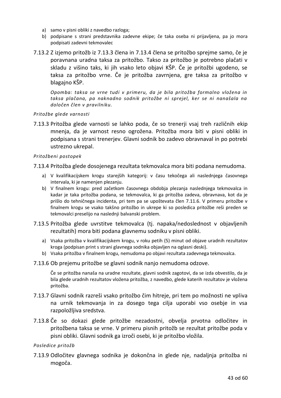- a) samo v pisni obliki z navedbo razloga;
- b) podpisane s strani predstavnika zadevne ekipe; če taka oseba ni prijavljena, pa jo mora podpisati zadevni tekmovalec
- 7.13.2 Z izjemo pritožb iz 7.13.3 člena in 7.13.4 člena se pritožbo sprejme samo, če je poravnana uradna taksa za pritožbo. Takso za pritožbo je potrebno plačati v skladu z višino taks, ki jih vsako leto objavi KŠP. Če je pritožbi ugodeno, se taksa za pritožbo vrne. Če je pritožba zavrnjena, gre taksa za pritožbo v blagajno KŠP.

*Opomba: taksa se vrne tudi v primeru, da je bila pritožba formalno vložena in taksa plačana, pa naknadno sodnik pritožbe ni sprejel, ker se ni nanašala na določen člen v pravilniku.*

#### *Pritožbe glede varnosti*

7.13.3 Pritožba glede varnosti se lahko poda, če so trenerji vsaj treh različnih ekip mnenja, da je varnost resno ogrožena. Pritožba mora biti v pisni obliki in podpisana s strani trenerjev. Glavni sodnik bo zadevo obravnaval in po potrebi ustrezno ukrepal.

#### *Pritožbeni postopek*

7.13.4 Pritožba glede dosojenega rezultata tekmovalca mora biti podana nemudoma.

- a) V kvalifikacijskem krogu starejših kategorij: v času tekočega ali naslednjega časovnega intervala, ki je namenjen plezanju.
- b) V finalnem krogu: pred začetkom časovnega obdobja plezanja naslednjega tekmovalca in kadar je taka pritožba podana, se tekmovalca, ki ga pritožba zadeva, obravnava, kot da je prišlo do tehničnega incidenta, pri tem pa se upoštevata člen 7.11.6. V primeru pritožbe v finalnem krogu se vsako takšno pritožbo in ukrepe ki so posledica pritožbe reši preden se tekmovalci preselijo na naslednji balvanski problem.
- 7.13.5 Pritožba glede uvrstitve tekmovalca (tj. napaka/nedoslednost v objavljenih rezultatih) mora biti podana glavnemu sodniku v pisni obliki.
	- a) Vsaka pritožba v kvalifikacijskem krogu, v roku petih (5) minut od objave uradnih rezultatov kroga (podpisan print s strani glavnega sodnika objavljen na oglasni deski).
	- b) Vsaka pritožba v finalnem krogu, nemudoma po objavi rezultata zadevnega tekmovalca.

#### 7.13.6 Ob prejemu pritožbe se glavni sodnik nanjo nemudoma odzove.

Če se pritožba nanaša na uradne rezultate, glavni sodnik zagotovi, da se izda obvestilo, da je bila glede uradnih rezultatov vložena pritožba, z navedbo, glede katerih rezultatov je vložena pritožba.

- 7.13.7 Glavni sodnik razreši vsako pritožbo čim hitreje, pri tem po možnosti ne vpliva na urnik tekmovanja in za dosego tega cilja uporabi vso osebje in vsa razpoložljiva sredstva.
- 7.13.8 Če so dokazi glede pritožbe nezadostni, obvelja prvotna odločitev in pritožbena taksa se vrne. V primeru pisnih pritožb se rezultat pritožbe poda v pisni obliki. Glavni sodnik ga izroči osebi, ki je pritožbo vložila.

#### *Posledice pritožb*

7.13.9 Odločitev glavnega sodnika je dokončna in glede nje, nadaljnja pritožba ni mogoča.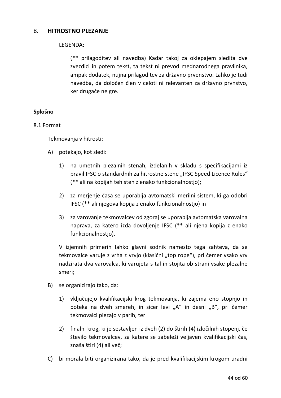# 8. **HITROSTNO PLEZANJE**

# LEGENDA:

(\*\* prilagoditev ali navedba) Kadar takoj za oklepajem sledita dve zvezdici in potem tekst, ta tekst ni prevod mednarodnega pravilnika, ampak dodatek, nujna prilagoditev za državno prvenstvo. Lahko je tudi navedba, da določen člen v celoti ni relevanten za državno prvnstvo, ker drugače ne gre.

# **Splošno**

# 8.1 Format

Tekmovanja v hitrosti:

- A) potekajo, kot sledi:
	- 1) na umetnih plezalnih stenah, izdelanih v skladu s specifikacijami iz pravil IFSC o standardnih za hitrostne stene "IFSC Speed Licence Rules" (\*\* ali na kopijah teh sten z enako funkcionalnostjo);
	- 2) za merjenje časa se uporablja avtomatski merilni sistem, ki ga odobri IFSC (\*\* ali njegova kopija z enako funkcionalnostjo) in
	- 3) za varovanje tekmovalcev od zgoraj se uporablja avtomatska varovalna naprava, za katero izda dovoljenje IFSC (\*\* ali njena kopija z enako funkcionalnostjo).

V izjemnih primerih lahko glavni sodnik namesto tega zahteva, da se tekmovalce varuje z vrha z vrvjo (klasični "top rope"), pri čemer vsako vrv nadzirata dva varovalca, ki varujeta s tal in stojita ob strani vsake plezalne smeri;

- B) se organizirajo tako, da:
	- 1) vključujejo kvalifikacijski krog tekmovanja, ki zajema eno stopnjo in poteka na dveh smereh, in sicer levi "A" in desni "B", pri čemer tekmovalci plezajo v parih, ter
	- 2) finalni krog, ki je sestavljen iz dveh (2) do štirih (4) izločilnih stopenj, če število tekmovalcev, za katere se zabeleži veljaven kvalifikacijski čas, znaša štiri (4) ali več;
- C) bi morala biti organizirana tako, da je pred kvalifikacijskim krogom uradni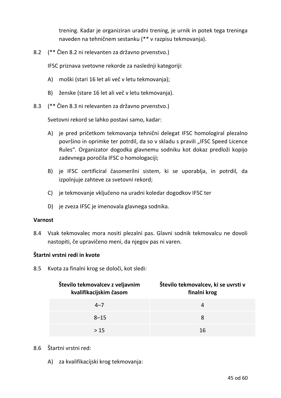trening. Kadar je organiziran uradni trening, je urnik in potek tega treninga naveden na tehničnem sestanku (\*\* v razpisu tekmovanja).

8.2 (\*\* Člen 8.2 ni relevanten za državno prvenstvo.)

IFSC priznava svetovne rekorde za naslednji kategoriji:

- A) moški (stari 16 let ali več v letu tekmovanja);
- B) ženske (stare 16 let ali več v letu tekmovanja).
- 8.3 (\*\* Člen 8.3 ni relevanten za državno prvenstvo.)

Svetovni rekord se lahko postavi samo, kadar:

- A) je pred pričetkom tekmovanja tehnični delegat IFSC homologiral plezalno površino in oprimke ter potrdil, da so v skladu s pravili "IFSC Speed Licence Rules". Organizator dogodka glavnemu sodniku kot dokaz predloži kopijo zadevnega poročila IFSC o homologaciji;
- B) je IFSC certificiral časomerilni sistem, ki se uporablja, in potrdil, da izpolnjuje zahteve za svetovni rekord;
- C) je tekmovanje vključeno na uradni koledar dogodkov IFSC ter
- D) je zveza IFSC je imenovala glavnega sodnika.

#### **Varnost**

8.4 Vsak tekmovalec mora nositi plezalni pas. Glavni sodnik tekmovalcu ne dovoli nastopiti, če upravičeno meni, da njegov pas ni varen.

# **Štartni vrstni redi in kvote**

8.5 Kvota za finalni krog se določi, kot sledi:

| Število tekmovalcev z veljavnim<br>kvalifikacijskim časom | Število tekmovalcev, ki se uvrsti v<br>finalni krog |
|-----------------------------------------------------------|-----------------------------------------------------|
| $4 - 7$                                                   |                                                     |
| $8 - 15$                                                  | 8                                                   |
| >15                                                       | 16                                                  |

# 8.6 Štartni vrstni red:

A) za kvalifikacijski krog tekmovanja: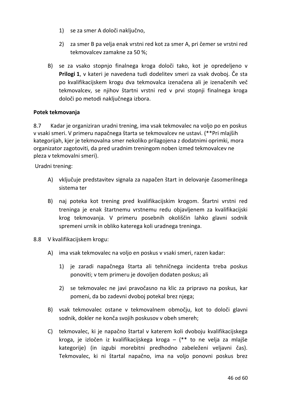- 1) se za smer A določi naključno,
- 2) za smer B pa velja enak vrstni red kot za smer A, pri čemer se vrstni red tekmovalcev zamakne za 50 %;
- B) se za vsako stopnjo finalnega kroga določi tako, kot je opredeljeno v **Prilogi 1**, v kateri je navedena tudi dodelitev smeri za vsak dvoboj. Če sta po kvalifikacijskem krogu dva tekmovalca izenačena ali je izenačenih več tekmovalcev, se njihov štartni vrstni red v prvi stopnji finalnega kroga določi po metodi naključnega izbora.

# **Potek tekmovanja**

8.7 Kadar je organiziran uradni trening, ima vsak tekmovalec na voljo po en poskus v vsaki smeri. V primeru napačnega štarta se tekmovalcev ne ustavi. (\*\*Pri mlajših kategorijah, kjer je tekmovalna smer nekoliko prilagojena z dodatnimi oprimki, mora organizator zagotoviti, da pred uradnim treningom noben izmed tekmovalcev ne pleza v tekmovalni smeri).

Uradni trening:

- A) vključuje predstavitev signala za napačen štart in delovanje časomerilnega sistema ter
- B) naj poteka kot trening pred kvalifikacijskim krogom. Štartni vrstni red treninga je enak štartnemu vrstnemu redu objavljenem za kvalifikacijski krog tekmovanja. V primeru posebnih okoliščin lahko glavni sodnik spremeni urnik in obliko katerega koli uradnega treninga.
- 8.8 V kvalifikacijskem krogu:
	- A) ima vsak tekmovalec na voljo en poskus v vsaki smeri, razen kadar:
		- 1) je zaradi napačnega štarta ali tehničnega incidenta treba poskus ponoviti; v tem primeru je dovoljen dodaten poskus; ali
		- 2) se tekmovalec ne javi pravočasno na klic za pripravo na poskus, kar pomeni, da bo zadevni dvoboj potekal brez njega;
	- B) vsak tekmovalec ostane v tekmovalnem območju, kot to določi glavni sodnik, dokler ne konča svojih poskusov v obeh smereh;
	- C) tekmovalec, ki je napačno štartal v katerem koli dvoboju kvalifikacijskega kroga, je izločen iz kvalifikacijskega kroga – (\*\* to ne velja za mlajše kategorije) (in izgubi morebitni predhodno zabeleženi veljavni čas). Tekmovalec, ki ni štartal napačno, ima na voljo ponovni poskus brez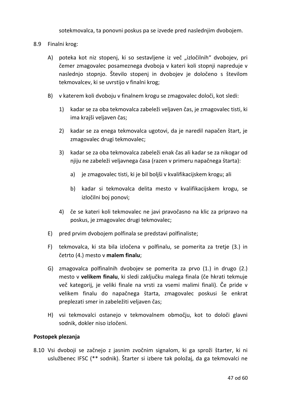sotekmovalca, ta ponovni poskus pa se izvede pred naslednjim dvobojem.

- 8.9 Finalni krog:
	- A) poteka kot niz stopenj, ki so sestavljene iz več "izločilnih" dvobojev, pri čemer zmagovalec posameznega dvoboja v kateri koli stopnji napreduje v naslednjo stopnjo. Število stopenj in dvobojev je določeno s številom tekmovalcev, ki se uvrstijo v finalni krog;
	- B) v katerem koli dvoboju v finalnem krogu se zmagovalec določi, kot sledi:
		- 1) kadar se za oba tekmovalca zabeleži veljaven čas, je zmagovalec tisti, ki ima krajši veljaven čas;
		- 2) kadar se za enega tekmovalca ugotovi, da je naredil napačen štart, je zmagovalec drugi tekmovalec;
		- 3) kadar se za oba tekmovalca zabeleži enak čas ali kadar se za nikogar od njiju ne zabeleži veljavnega časa (razen v primeru napačnega štarta):
			- a) je zmagovalec tisti, ki je bil boljši v kvalifikacijskem krogu; ali
			- b) kadar si tekmovalca delita mesto v kvalifikacijskem krogu, se izločilni boj ponovi;
		- 4) če se kateri koli tekmovalec ne javi pravočasno na klic za pripravo na poskus, je zmagovalec drugi tekmovalec;
	- E) pred prvim dvobojem polfinala se predstavi polfinaliste;
	- F) tekmovalca, ki sta bila izločena v polfinalu, se pomerita za tretje (3.) in četrto (4.) mesto v **malem finalu**;
	- G) zmagovalca polfinalnih dvobojev se pomerita za prvo (1.) in drugo (2.) mesto v **velikem finalu**, ki sledi zaključku malega finala (če hkrati tekmuje več kategorij, je veliki finale na vrsti za vsemi malimi finali). Če pride v velikem finalu do napačnega štarta, zmagovalec poskusi še enkrat preplezati smer in zabeležiti veljaven čas;
	- H) vsi tekmovalci ostanejo v tekmovalnem območju, kot to določi glavni sodnik, dokler niso izločeni.

# **Postopek plezanja**

8.10 Vsi dvoboji se začnejo z jasnim zvočnim signalom, ki ga sproži štarter, ki ni uslužbenec IFSC (\*\* sodnik). Štarter si izbere tak položaj, da ga tekmovalci ne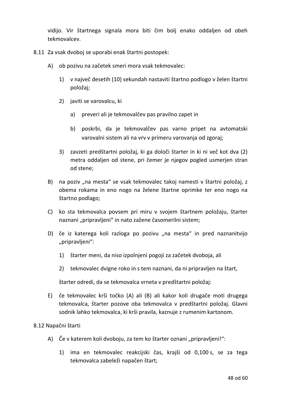vidijo. Vir štartnega signala mora biti čim bolj enako oddaljen od obeh tekmovalcev.

- 8.11 Za vsak dvoboj se uporabi enak štartni postopek:
	- A) ob pozivu na začetek smeri mora vsak tekmovalec:
		- 1) v največ desetih (10) sekundah nastaviti štartno podlogo v želen štartni položaj;
		- 2) javiti se varovalcu, ki
			- a) preveri ali je tekmovalčev pas pravilno zapet in
			- b) poskrbi, da je tekmovalčev pas varno pripet na avtomatski varovalni sistem ali na vrv v primeru varovanja od zgoraj;
		- 3) zavzeti predštartni položaj, ki ga določi štarter in ki ni več kot dva (2) metra oddaljen od stene, pri čemer je njegov pogled usmerjen stran od stene;
	- B) na poziv "na mesta" se vsak tekmovalec takoj namesti v štartni položaj, z obema rokama in eno nogo na želene štartne oprimke ter eno nogo na štartno podlago;
	- C) ko sta tekmovalca povsem pri miru v svojem štartnem položaju, štarter naznani "pripravljeni" in nato zažene časomerilni sistem;
	- D) če iz katerega koli razloga po pozivu "na mesta" in pred naznanitvijo "pripravljeni":
		- 1) štarter meni, da niso izpolnjeni pogoji za začetek dvoboja, ali
		- 2) tekmovalec dvigne roko in s tem naznani, da ni pripravljen na štart,

štarter odredi, da se tekmovalca vrneta v predštartni položaj:

E) če tekmovalec krši točko (A) ali (B) ali kakor koli drugače moti drugega tekmovalca, štarter pozove oba tekmovalca v predštartni položaj. Glavni sodnik lahko tekmovalca, ki krši pravila, kaznuje z rumenim kartonom.

# 8.12 Napačni štarti

- A) Če v katerem koli dvoboju, za tem ko štarter oznani "pripravljeni!":
	- 1) ima en tekmovalec reakcijski čas, krajši od 0,100 s, se za tega tekmovalca zabeleži napačen štart;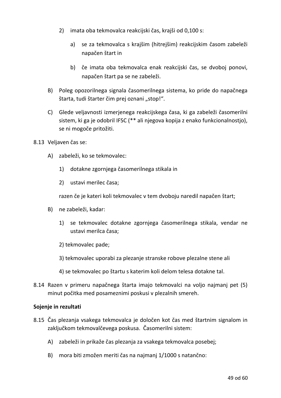- 2) imata oba tekmovalca reakcijski čas, krajši od 0,100 s:
	- a) se za tekmovalca s krajšim (hitrejšim) reakcijskim časom zabeleži napačen štart in
	- b) če imata oba tekmovalca enak reakcijski čas, se dvoboj ponovi, napačen štart pa se ne zabeleži.
- B) Poleg opozorilnega signala časomerilnega sistema, ko pride do napačnega štarta, tudi štarter čim prej oznani "stop!".
- C) Glede veljavnosti izmerjenega reakcijskega časa, ki ga zabeleži časomerilni sistem, ki ga je odobril IFSC (\*\* ali njegova kopija z enako funkcionalnostjo), se ni mogoče pritožiti.
- 8.13 Veljaven čas se:
	- A) zabeleži, ko se tekmovalec:
		- 1) dotakne zgornjega časomerilnega stikala in
		- 2) ustavi merilec časa;

razen če je kateri koli tekmovalec v tem dvoboju naredil napačen štart;

- B) ne zabeleži, kadar:
	- 1) se tekmovalec dotakne zgornjega časomerilnega stikala, vendar ne ustavi merilca časa;
	- 2) tekmovalec pade;
	- 3) tekmovalec uporabi za plezanje stranske robove plezalne stene ali
	- 4) se tekmovalec po štartu s katerim koli delom telesa dotakne tal.
- 8.14 Razen v primeru napačnega štarta imajo tekmovalci na voljo najmanj pet (5) minut počitka med posameznimi poskusi v plezalnih smereh.

# **Sojenje in rezultati**

- 8.15 Čas plezanja vsakega tekmovalca je določen kot čas med štartnim signalom in zaključkom tekmovalčevega poskusa. Časomerilni sistem:
	- A) zabeleži in prikaže čas plezanja za vsakega tekmovalca posebej;
	- B) mora biti zmožen meriti čas na najmanj 1/1000 s natančno: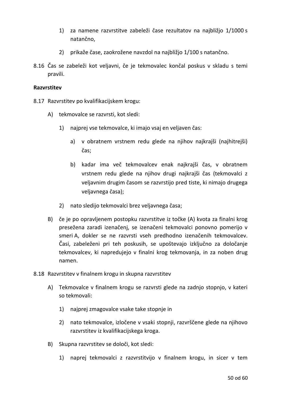- 1) za namene razvrstitve zabeleži čase rezultatov na najbližjo 1/1000 s natančno,
- 2) prikaže čase, zaokrožene navzdol na najbližjo 1/100 s natančno.
- 8.16 Čas se zabeleži kot veljavni, če je tekmovalec končal poskus v skladu s temi pravili.

# **Razvrstitev**

- 8.17 Razvrstitev po kvalifikacijskem krogu:
	- A) tekmovalce se razvrsti, kot sledi:
		- 1) najprej vse tekmovalce, ki imajo vsaj en veljaven čas:
			- a) v obratnem vrstnem redu glede na njihov najkrajši (najhitrejši) čas;
			- b) kadar ima več tekmovalcev enak najkrajši čas, v obratnem vrstnem redu glede na njihov drugi najkrajši čas (tekmovalci z veljavnim drugim časom se razvrstijo pred tiste, ki nimajo drugega veljavnega časa);
		- 2) nato sledijo tekmovalci brez veljavnega časa;
	- B) če je po opravljenem postopku razvrstitve iz točke (A) kvota za finalni krog presežena zaradi izenačenj, se izenačeni tekmovalci ponovno pomerijo v smeri A, dokler se ne razvrsti vseh predhodno izenačenih tekmovalcev. Časi, zabeleženi pri teh poskusih, se upoštevajo izključno za določanje tekmovalcev, ki napredujejo v finalni krog tekmovanja, in za noben drug namen.
- 8.18 Razvrstitev v finalnem krogu in skupna razvrstitev
	- A) Tekmovalce v finalnem krogu se razvrsti glede na zadnjo stopnjo, v kateri so tekmovali:
		- 1) najprej zmagovalce vsake take stopnje in
		- 2) nato tekmovalce, izločene v vsaki stopnji, razvrščene glede na njihovo razvrstitev iz kvalifikacijskega kroga.
	- B) Skupna razvrstitev se določi, kot sledi:
		- 1) naprej tekmovalci z razvrstitvijo v finalnem krogu, in sicer v tem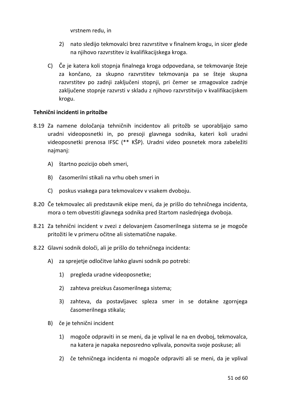vrstnem redu, in

- 2) nato sledijo tekmovalci brez razvrstitve v finalnem krogu, in sicer glede na njihovo razvrstitev iz kvalifikacijskega kroga.
- C) Če je katera koli stopnja finalnega kroga odpovedana, se tekmovanje šteje za končano, za skupno razvrstitev tekmovanja pa se šteje skupna razvrstitev po zadnji zaključeni stopnji, pri čemer se zmagovalce zadnje zaključene stopnje razvrsti v skladu z njihovo razvrstitvijo v kvalifikacijskem krogu.

# **Tehnični incidenti in pritožbe**

- 8.19 Za namene določanja tehničnih incidentov ali pritožb se uporabljajo samo uradni videoposnetki in, po presoji glavnega sodnika, kateri koli uradni videoposnetki prenosa IFSC (\*\* KŠP). Uradni video posnetek mora zabeležiti najmanj:
	- A) štartno pozicijo obeh smeri,
	- B) časomerilni stikali na vrhu obeh smeri in
	- C) poskus vsakega para tekmovalcev v vsakem dvoboju.
- 8.20 Če tekmovalec ali predstavnik ekipe meni, da je prišlo do tehničnega incidenta, mora o tem obvestiti glavnega sodnika pred štartom naslednjega dvoboja.
- 8.21 Za tehnični incident v zvezi z delovanjem časomerilnega sistema se je mogoče pritožiti le v primeru očitne ali sistematične napake.
- 8.22 Glavni sodnik določi, ali je prišlo do tehničnega incidenta:
	- A) za sprejetje odločitve lahko glavni sodnik po potrebi:
		- 1) pregleda uradne videoposnetke;
		- 2) zahteva preizkus časomerilnega sistema;
		- 3) zahteva, da postavljavec spleza smer in se dotakne zgornjega časomerilnega stikala;
	- B) če je tehnični incident
		- 1) mogoče odpraviti in se meni, da je vplival le na en dvoboj, tekmovalca, na katera je napaka neposredno vplivala, ponovita svoje poskuse; ali
		- 2) če tehničnega incidenta ni mogoče odpraviti ali se meni, da je vplival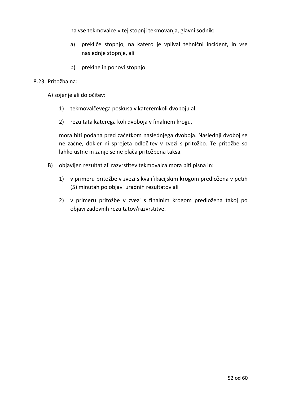na vse tekmovalce v tej stopnji tekmovanja, glavni sodnik:

- a) prekliče stopnjo, na katero je vplival tehnični incident, in vse naslednje stopnje, ali
- b) prekine in ponovi stopnjo.

# 8.23 Pritožba na:

A) sojenje ali določitev:

- 1) tekmovalčevega poskusa v kateremkoli dvoboju ali
- 2) rezultata katerega koli dvoboja v finalnem krogu,

mora biti podana pred začetkom naslednjega dvoboja. Naslednji dvoboj se ne začne, dokler ni sprejeta odločitev v zvezi s pritožbo. Te pritožbe so lahko ustne in zanje se ne plača pritožbena taksa.

- B) objavljen rezultat ali razvrstitev tekmovalca mora biti pisna in:
	- 1) v primeru pritožbe v zvezi s kvalifikacijskim krogom predložena v petih (5) minutah po objavi uradnih rezultatov ali
	- 2) v primeru pritožbe v zvezi s finalnim krogom predložena takoj po objavi zadevnih rezultatov/razvrstitve.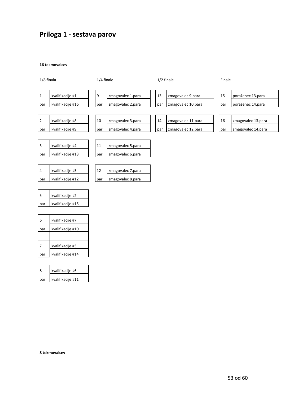# **Priloga 1 - sestava parov**

#### **16 tekmovalcev**



|     | kvalifikacije #6  |
|-----|-------------------|
| par | kvalifikacije #11 |

**8 tekmovalcev**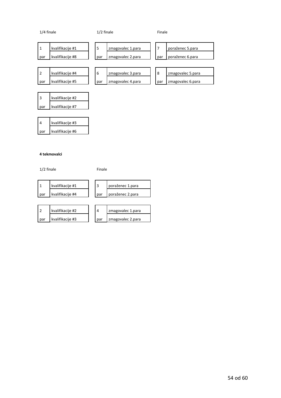| 1/4 finale          |                                      | $1/2$ finale |                                        |  | Finale   |                                      |  |
|---------------------|--------------------------------------|--------------|----------------------------------------|--|----------|--------------------------------------|--|
| $\mathbf{1}$<br>par | kvalifikacije #1<br>kvalifikacije #8 | 5<br>par     | zmagovalec 1.para<br>zmagovalec 2.para |  | 7<br>par | poraženec 5.para<br>poraženec 6.para |  |
|                     |                                      |              |                                        |  |          |                                      |  |
| $\overline{2}$      | kvalifikacije #4                     | 6            | zmagovalec 3.para                      |  | 8        | zmagovalec 5.para                    |  |
| par                 | kvalifikacije #5                     | par          | zmagovalec 4.para                      |  | par      | zmagovalec 6.para                    |  |
|                     |                                      |              |                                        |  |          |                                      |  |
| 3                   | kvalifikacije #2                     |              |                                        |  |          |                                      |  |
| par                 | kvalifikacije #7                     |              |                                        |  |          |                                      |  |

|     | kvalifikacije #3 |  |  |
|-----|------------------|--|--|
| par | kvalifikacije #6 |  |  |

#### **4 tekmovalci**

1/2 finale Finale

|     | kvalifikacije #1 |       | poraženec 1.para |
|-----|------------------|-------|------------------|
| par | kvalifikacije #4 | . par | poraženec 2.para |

|       | kvalifikacije #2 |       | zmagovalec 1.para |
|-------|------------------|-------|-------------------|
| . par | kvalifikacije #3 | I par | zmagovalec 2.para |

| zmagovalec 1.para |
|-------------------|
|                   |
| zmagovalec 2.para |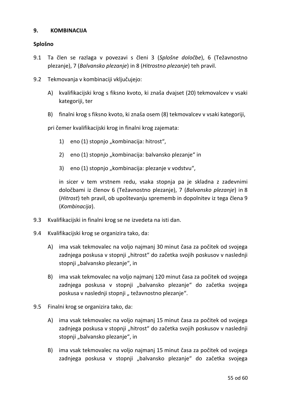# **9. KOMBINACIJA**

# **Splošno**

- 9.1 Ta člen se razlaga v povezavi s členi 3 (*Splošne določbe*), 6 (Težavnostno plezanje), 7 (*Balvansko plezanje*) in 8 (*Hitrostno plezanje*) teh pravil.
- 9.2 Tekmovanja v kombinaciji vključujejo:
	- A) kvalifikacijski krog s fiksno kvoto, ki znaša dvajset (20) tekmovalcev v vsaki kategoriji, ter
	- B) finalni krog s fiksno kvoto, ki znaša osem (8) tekmovalcev v vsaki kategoriji,

pri čemer kvalifikacijski krog in finalni krog zajemata:

- 1) eno (1) stopnjo "kombinacija: hitrost",
- 2) eno (1) stopnjo "kombinacija: balvansko plezanje" in
- 3) eno (1) stopnjo "kombinacija: plezanje v vodstvu",

in sicer v tem vrstnem redu, vsaka stopnja pa je skladna z zadevnimi določbami iz členov 6 (Težavnostno plezanje), 7 (*Balvansko plezanje*) in 8 (*Hitrost*) teh pravil, ob upoštevanju sprememb in dopolnitev iz tega člena 9 (*Kombinacija*).

- 9.3 Kvalifikacijski in finalni krog se ne izvedeta na isti dan.
- 9.4 Kvalifikacijski krog se organizira tako, da:
	- A) ima vsak tekmovalec na voljo najmanj 30 minut časa za počitek od svojega zadnjega poskusa v stopnji "hitrost" do začetka svojih poskusov v naslednji stopnji "balvansko plezanje", in
	- B) ima vsak tekmovalec na voljo najmanj 120 minut časa za počitek od svojega zadnjega poskusa v stopnji "balvansko plezanje" do začetka svojega poskusa v naslednji stopnji "težavnostno plezanje".
- 9.5 Finalni krog se organizira tako, da:
	- A) ima vsak tekmovalec na voljo najmanj 15 minut časa za počitek od svojega zadnjega poskusa v stopnji "hitrost" do začetka svojih poskusov v naslednji stopnji "balvansko plezanje", in
	- B) ima vsak tekmovalec na voljo najmanj 15 minut časa za počitek od svojega zadnjega poskusa v stopnji "balvansko plezanje" do začetka svojega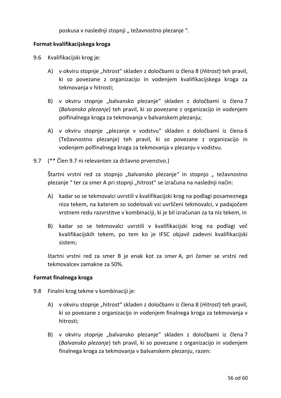poskusa v naslednji stopnji "težavnostno plezanje".

# **Format kvalifikacijskega kroga**

- 9.6 Kvalifikacijski krog je:
	- A) v okviru stopnje "hitrost" skladen z določbami iz člena 8 (*Hitrost*) teh pravil, ki so povezane z organizacijo in vodenjem kvalifikacijskega kroga za tekmovanja v hitrosti;
	- B) v okviru stopnje "balvansko plezanje" skladen z določbami iz člena 7 (*Balvansko plezanje*) teh pravil, ki so povezane z organizacijo in vodenjem polfinalnega kroga za tekmovanja v balvanskem plezanju;
	- A) v okviru stopnje "plezanje v vodstvu" skladen z določbami iz člena 6 (Težavnostno plezanje) teh pravil, ki so povezane z organizacijo in vodenjem polfinalnega kroga za tekmovanja v plezanju v vodstvu.
- 9.7 (\*\* Člen 9.7 ni relevanten za državno prvenstvo.)

Štartni vrstni red za stopnjo "balvansko plezanje" in stopnjo "težavnostno plezanje " ter za smer A pri stopnji "hitrost" se izračuna na naslednji način:

- A) kadar so se tekmovalci uvrstili v kvalifikacijski krog na podlagi posameznega niza tekem, na katerem so sodelovali vsi uvrščeni tekmovalci, v padajočem vrstnem redu razvrstitve v kombinaciji, ki je bil izračunan za ta niz tekem, in
- B) kadar so se tekmovalci uvrstili v kvalifikacijski krog na podlagi več kvalifikacijskih tekem, po tem ko je IFSC objavil zadevni kvalifikacijski sistem;

štartni vrstni red za smer B je enak kot za smer A, pri čemer se vrstni red tekmovalcev zamakne za 50%.

# **Format finalnega kroga**

- 9.8 Finalni krog tekme v kombinaciji je:
	- A) v okviru stopnje "hitrost" skladen z določbami iz člena 8 (*Hitrost*) teh pravil, ki so povezane z organizacijo in vodenjem finalnega kroga za tekmovanja v hitrosti;
	- B) v okviru stopnje "balvansko plezanje" skladen z določbami iz člena 7 (*Balvansko plezanje*) teh pravil, ki so povezane z organizacijo in vodenjem finalnega kroga za tekmovanja v balvanskem plezanju, razen: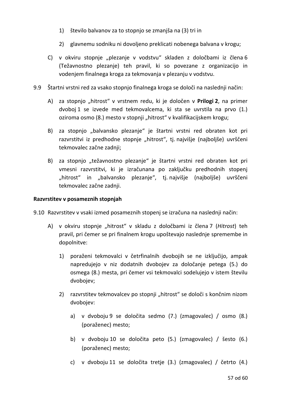- 1) število balvanov za to stopnjo se zmanjša na (3) tri in
- 2) glavnemu sodniku ni dovoljeno preklicati nobenega balvana v krogu;
- C) v okviru stopnje "plezanje v vodstvu" skladen z določbami iz člena 6 (Težavnostno plezanje) teh pravil, ki so povezane z organizacijo in vodenjem finalnega kroga za tekmovanja v plezanju v vodstvu.
- 9.9 Štartni vrstni red za vsako stopnjo finalnega kroga se določi na naslednji način:
	- A) za stopnjo "hitrost" v vrstnem redu, ki je določen v **Prilogi 2**, na primer dvoboj 1 se izvede med tekmovalcema, ki sta se uvrstila na prvo (1.) oziroma osmo (8.) mesto v stopnji "hitrost" v kvalifikacijskem krogu;
	- B) za stopnjo "balvansko plezanje" je štartni vrstni red obraten kot pri razvrstitvi iz predhodne stopnje "hitrost", tj. najvišje (najboljše) uvrščeni tekmovalec začne zadnji;
	- B) za stopnjo "težavnostno plezanje" je štartni vrstni red obraten kot pri vmesni razvrstitvi, ki je izračunana po zaključku predhodnih stopenj "hitrost" in "balvansko plezanje", tj. najvišje (najboljše) uvrščeni tekmovalec začne zadnji.

# **Razvrstitev v posameznih stopnjah**

9.10 Razvrstitev v vsaki izmed posameznih stopenj se izračuna na naslednji način:

- A) v okviru stopnje "hitrost" v skladu z določbami iz člena 7 (*Hitrost*) teh pravil, pri čemer se pri finalnem krogu upoštevajo naslednje spremembe in dopolnitve:
	- 1) poraženi tekmovalci v četrfinalnih dvobojih se ne izključijo, ampak napredujejo v niz dodatnih dvobojev za določanje petega (5.) do osmega (8.) mesta, pri čemer vsi tekmovalci sodelujejo v istem številu dvobojev;
	- 2) razvrstitev tekmovalcev po stopnji "hitrost" se določi s končnim nizom dvobojev:
		- a) v dvoboju 9 se določita sedmo (7.) (zmagovalec) / osmo (8.) (poraženec) mesto;
		- b) v dvoboju 10 se določita peto (5.) (zmagovalec) / šesto (6.) (poraženec) mesto;
		- c) v dvoboju 11 se določita tretje (3.) (zmagovalec) / četrto (4.)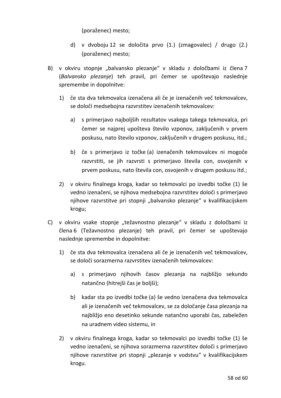(poraženec) mesto;

- d) v dvoboju 12 se določita prvo (1.) (zmagovalec) / drugo (2.) (poraženec) mesto;
- B) v okviru stopnje "balvansko plezanje" v skladu z določbami iz člena 7 (*Balvansko plezanje*) teh pravil, pri čemer se upoštevajo naslednje spremembe in dopolnitve:
	- 1) če sta dva tekmovalca izenačena ali če je izenačenih več tekmovalcev, se določi medsebojna razvrstitev izenačenih tekmovalcev:
		- a) s primerjavo najboljših rezultatov vsakega takega tekmovalca, pri čemer se najprej upošteva število vzponov, zaključenih v prvem poskusu, nato število vzponov, zaključenih v drugem poskusu, itd.;
		- b) če s primerjavo iz točke (a) izenačenih tekmovalcev ni mogoče razvrstiti, se jih razvrsti s primerjavo števila con, osvojenih v prvem poskusu, nato števila con, osvojenih v drugem poskusu itd.;
	- 2) v okviru finalnega kroga, kadar so tekmovalci po izvedbi točke (1) še vedno izenačeni, se njihova medsebojna razvrstitev določi s primerjavo njihove razvrstitve pri stopnji "balvansko plezanje" v kvalifikacijskem krogu;
- C) v okviru vsake stopnje "težavnostno plezanje" v skladu z določbami iz člena 6 (Težavnostno plezanje) teh pravil, pri čemer se upoštevajo naslednje spremembe in dopolnitve:
	- 1) če sta dva tekmovalca izenačena ali če je izenačenih več tekmovalcev, se določi sorazmerna razvrstitev izenačenih tekmovalcev:
		- a) s primerjavo njihovih časov plezanja na najbližjo sekundo natančno (hitrejši čas je boljši);
		- b) kadar sta po izvedbi točke (a) še vedno izenačena dva tekmovalca ali je izenačenih več tekmovalcev, se za določanje časa plezanja na najbližjo eno desetinko sekunde natančno uporabi čas, zabeležen na uradnem video sistemu, in
	- 2) v okviru finalnega kroga, kadar so tekmovalci po izvedbi točke (1) še vedno izenačeni, se njihova sorazmerna razvrstitev določi s primerjavo njihove razvrstitve pri stopnji "plezanje v vodstvu" v kvalifikacijskem krogu.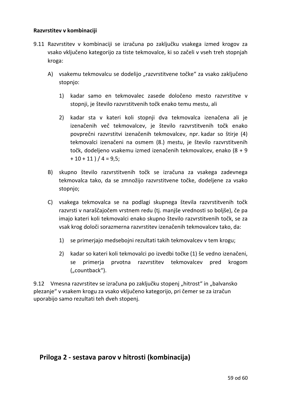# **Razvrstitev v kombinaciji**

- 9.11 Razvrstitev v kombinaciji se izračuna po zaključku vsakega izmed krogov za vsako vključeno kategorijo za tiste tekmovalce, ki so začeli v vseh treh stopnjah kroga:
	- A) vsakemu tekmovalcu se dodelijo "razvrstitvene točke" za vsako zaključeno stopnjo:
		- 1) kadar samo en tekmovalec zasede določeno mesto razvrstitve v stopnji, je število razvrstitvenih točk enako temu mestu, ali
		- 2) kadar sta v kateri koli stopnji dva tekmovalca izenačena ali je izenačenih več tekmovalcev, je število razvrstitvenih točk enako povprečni razvrstitvi izenačenih tekmovalcev, npr. kadar so štirje (4) tekmovalci izenačeni na osmem (8.) mestu, je število razvrstitvenih točk, dodeljeno vsakemu izmed izenačenih tekmovalcev, enako (8 + 9  $+10+11$  )  $/4 = 9.5$ ;
	- B) skupno število razvrstitvenih točk se izračuna za vsakega zadevnega tekmovalca tako, da se zmnožijo razvrstitvene točke, dodeljene za vsako stopnjo;
	- C) vsakega tekmovalca se na podlagi skupnega števila razvrstitvenih točk razvrsti v naraščajočem vrstnem redu (tj. manjše vrednosti so boljše), če pa imajo kateri koli tekmovalci enako skupno število razvrstitvenih točk, se za vsak krog določi sorazmerna razvrstitev izenačenih tekmovalcev tako, da:
		- 1) se primerjajo medsebojni rezultati takih tekmovalcev v tem krogu;
		- 2) kadar so kateri koli tekmovalci po izvedbi točke (1) še vedno izenačeni, se primerja prvotna razvrstitev tekmovalcev pred krogom ("countback").

9.12 Vmesna razvrstitev se izračuna po zaključku stopenj "hitrost" in "balvansko plezanje" v vsakem krogu za vsako vključeno kategorijo, pri čemer se za izračun uporabijo samo rezultati teh dveh stopenj.

# **Priloga 2 - sestava parov v hitrosti (kombinacija)**